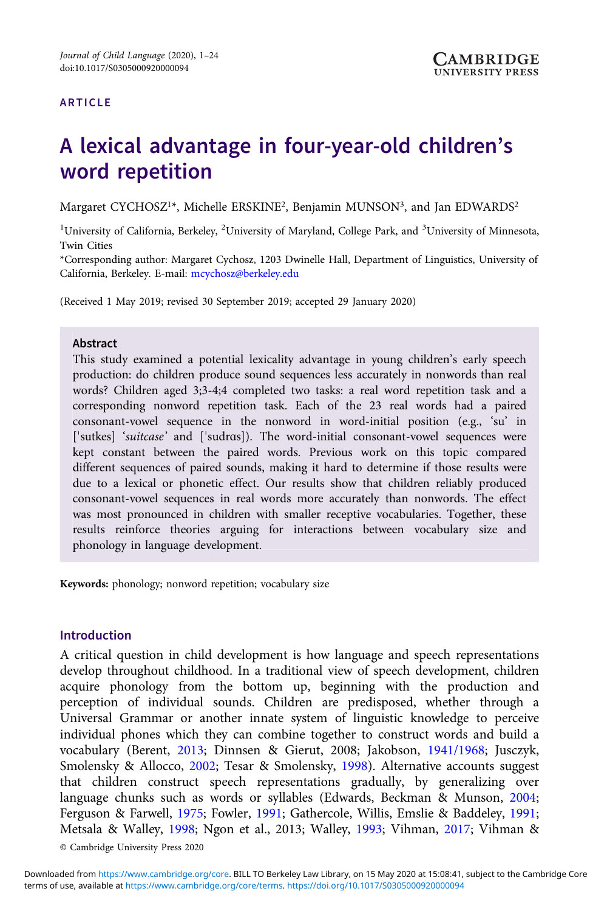#### ARTICLE

# A lexical advantage in four-year-old children's word repetition

Margaret CYCHOSZ<sup>1\*</sup>, Michelle ERSKINE<sup>2</sup>, Benjamin MUNSON<sup>3</sup>, and Jan EDWARDS<sup>2</sup>

<sup>1</sup>University of California, Berkeley, <sup>2</sup>University of Maryland, College Park, and <sup>3</sup>University of Minnesota, Twin Cities

\*Corresponding author: Margaret Cychosz, 1203 Dwinelle Hall, Department of Linguistics, University of California, Berkeley. E-mail: [mcychosz@berkeley.edu](mailto:mcychosz@berkeley.edu)

(Received 1 May 2019; revised 30 September 2019; accepted 29 January 2020)

#### Abstract

This study examined a potential lexicality advantage in young children's early speech production: do children produce sound sequences less accurately in nonwords than real words? Children aged 3;3-4;4 completed two tasks: a real word repetition task and a corresponding nonword repetition task. Each of the 23 real words had a paired consonant-vowel sequence in the nonword in word-initial position (e.g., 'su' in [ˈsutkes] 'suitcase' and [ˈsudrɑs]). The word-initial consonant-vowel sequences were kept constant between the paired words. Previous work on this topic compared different sequences of paired sounds, making it hard to determine if those results were due to a lexical or phonetic effect. Our results show that children reliably produced consonant-vowel sequences in real words more accurately than nonwords. The effect was most pronounced in children with smaller receptive vocabularies. Together, these results reinforce theories arguing for interactions between vocabulary size and phonology in language development.

Keywords: phonology; nonword repetition; vocabulary size

#### Introduction

A critical question in child development is how language and speech representations develop throughout childhood. In a traditional view of speech development, children acquire phonology from the bottom up, beginning with the production and perception of individual sounds. Children are predisposed, whether through a Universal Grammar or another innate system of linguistic knowledge to perceive individual phones which they can combine together to construct words and build a vocabulary (Berent, [2013;](#page-20-0) Dinnsen & Gierut, 2008; Jakobson, [1941/1968](#page-21-0); Jusczyk, Smolensky & Allocco, [2002](#page-21-0); Tesar & Smolensky, [1998](#page-22-0)). Alternative accounts suggest that children construct speech representations gradually, by generalizing over language chunks such as words or syllables (Edwards, Beckman & Munson, [2004;](#page-20-0) Ferguson & Farwell, [1975](#page-20-0); Fowler, [1991](#page-20-0); Gathercole, Willis, Emslie & Baddeley, [1991;](#page-20-0) Metsala & Walley, [1998](#page-21-0); Ngon et al., 2013; Walley, [1993](#page-23-0); Vihman, [2017;](#page-23-0) Vihman &

© Cambridge University Press 2020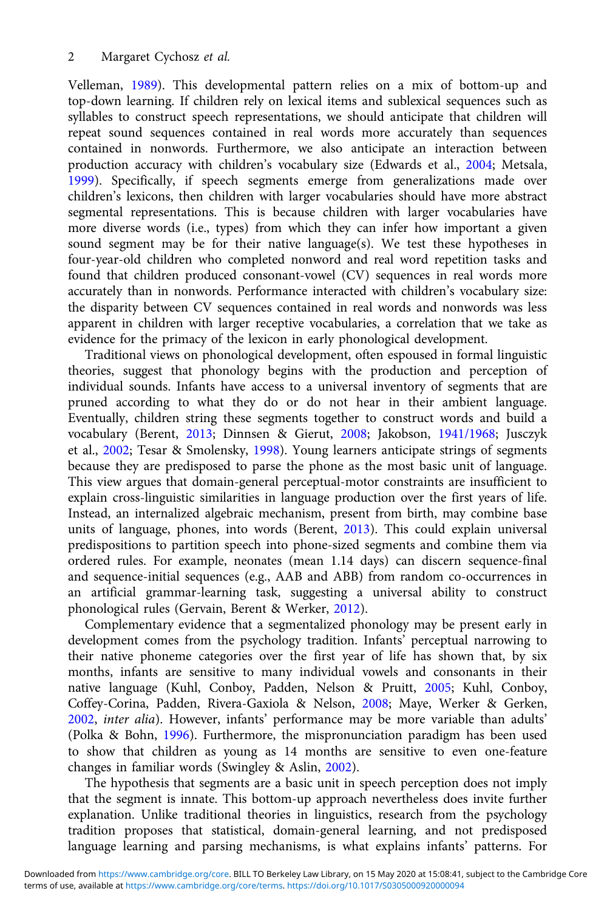Velleman, [1989\)](#page-23-0). This developmental pattern relies on a mix of bottom-up and top-down learning. If children rely on lexical items and sublexical sequences such as syllables to construct speech representations, we should anticipate that children will repeat sound sequences contained in real words more accurately than sequences contained in nonwords. Furthermore, we also anticipate an interaction between production accuracy with children's vocabulary size (Edwards et al., [2004](#page-20-0); Metsala, [1999\)](#page-21-0). Specifically, if speech segments emerge from generalizations made over children's lexicons, then children with larger vocabularies should have more abstract segmental representations. This is because children with larger vocabularies have more diverse words (i.e., types) from which they can infer how important a given sound segment may be for their native language(s). We test these hypotheses in four-year-old children who completed nonword and real word repetition tasks and found that children produced consonant-vowel (CV) sequences in real words more accurately than in nonwords. Performance interacted with children's vocabulary size: the disparity between CV sequences contained in real words and nonwords was less apparent in children with larger receptive vocabularies, a correlation that we take as evidence for the primacy of the lexicon in early phonological development.

Traditional views on phonological development, often espoused in formal linguistic theories, suggest that phonology begins with the production and perception of individual sounds. Infants have access to a universal inventory of segments that are pruned according to what they do or do not hear in their ambient language. Eventually, children string these segments together to construct words and build a vocabulary (Berent, [2013;](#page-20-0) Dinnsen & Gierut, [2008;](#page-20-0) Jakobson, [1941/1968;](#page-21-0) Jusczyk et al., [2002;](#page-21-0) Tesar & Smolensky, [1998](#page-22-0)). Young learners anticipate strings of segments because they are predisposed to parse the phone as the most basic unit of language. This view argues that domain-general perceptual-motor constraints are insufficient to explain cross-linguistic similarities in language production over the first years of life. Instead, an internalized algebraic mechanism, present from birth, may combine base units of language, phones, into words (Berent, [2013\)](#page-20-0). This could explain universal predispositions to partition speech into phone-sized segments and combine them via ordered rules. For example, neonates (mean 1.14 days) can discern sequence-final and sequence-initial sequences (e.g., AAB and ABB) from random co-occurrences in an artificial grammar-learning task, suggesting a universal ability to construct phonological rules (Gervain, Berent & Werker, [2012\)](#page-21-0).

Complementary evidence that a segmentalized phonology may be present early in development comes from the psychology tradition. Infants' perceptual narrowing to their native phoneme categories over the first year of life has shown that, by six months, infants are sensitive to many individual vowels and consonants in their native language (Kuhl, Conboy, Padden, Nelson & Pruitt, [2005](#page-21-0); Kuhl, Conboy, Coffey-Corina, Padden, Rivera-Gaxiola & Nelson, [2008;](#page-21-0) Maye, Werker & Gerken, [2002,](#page-21-0) inter alia). However, infants' performance may be more variable than adults' (Polka & Bohn, [1996](#page-22-0)). Furthermore, the mispronunciation paradigm has been used to show that children as young as 14 months are sensitive to even one-feature changes in familiar words (Swingley & Aslin, [2002\)](#page-22-0).

The hypothesis that segments are a basic unit in speech perception does not imply that the segment is innate. This bottom-up approach nevertheless does invite further explanation. Unlike traditional theories in linguistics, research from the psychology tradition proposes that statistical, domain-general learning, and not predisposed language learning and parsing mechanisms, is what explains infants' patterns. For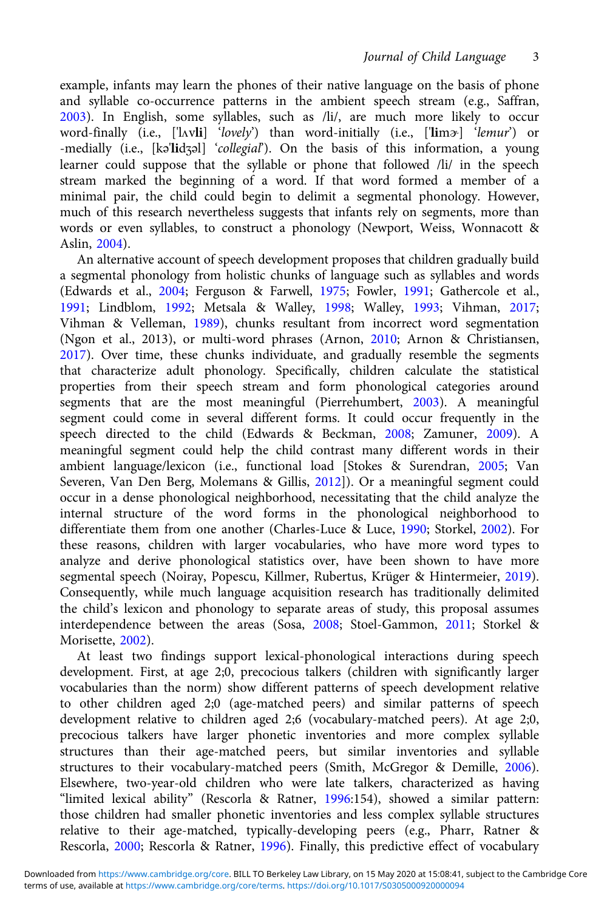example, infants may learn the phones of their native language on the basis of phone and syllable co-occurrence patterns in the ambient speech stream (e.g., Saffran, [2003](#page-22-0)). In English, some syllables, such as /li/, are much more likely to occur word-finally (i.e., ['lʌvli] 'lovely') than word-initially (i.e., ['lim $\gg$ ] 'lemur') or -medially (i.e., [kə'lidʒəl] 'collegial'). On the basis of this information, a young learner could suppose that the syllable or phone that followed /li/ in the speech stream marked the beginning of a word. If that word formed a member of a minimal pair, the child could begin to delimit a segmental phonology. However, much of this research nevertheless suggests that infants rely on segments, more than words or even syllables, to construct a phonology (Newport, Weiss, Wonnacott & Aslin, [2004](#page-22-0)).

An alternative account of speech development proposes that children gradually build a segmental phonology from holistic chunks of language such as syllables and words (Edwards et al., [2004](#page-20-0); Ferguson & Farwell, [1975;](#page-20-0) Fowler, [1991](#page-20-0); Gathercole et al., [1991](#page-20-0); Lindblom, [1992;](#page-21-0) Metsala & Walley, [1998](#page-21-0); Walley, [1993](#page-23-0); Vihman, [2017;](#page-23-0) Vihman & Velleman, [1989](#page-23-0)), chunks resultant from incorrect word segmentation (Ngon et al., 2013), or multi-word phrases (Arnon, [2010;](#page-20-0) Arnon & Christiansen, [2017](#page-20-0)). Over time, these chunks individuate, and gradually resemble the segments that characterize adult phonology. Specifically, children calculate the statistical properties from their speech stream and form phonological categories around segments that are the most meaningful (Pierrehumbert, [2003\)](#page-22-0). A meaningful segment could come in several different forms. It could occur frequently in the speech directed to the child (Edwards & Beckman, [2008;](#page-20-0) Zamuner, [2009\)](#page-23-0). A meaningful segment could help the child contrast many different words in their ambient language/lexicon (i.e., functional load [Stokes & Surendran, [2005](#page-22-0); Van Severen, Van Den Berg, Molemans & Gillis, [2012](#page-23-0)]). Or a meaningful segment could occur in a dense phonological neighborhood, necessitating that the child analyze the internal structure of the word forms in the phonological neighborhood to differentiate them from one another (Charles-Luce & Luce, [1990;](#page-20-0) Storkel, [2002](#page-22-0)). For these reasons, children with larger vocabularies, who have more word types to analyze and derive phonological statistics over, have been shown to have more segmental speech (Noiray, Popescu, Killmer, Rubertus, Krüger & Hintermeier, [2019](#page-22-0)). Consequently, while much language acquisition research has traditionally delimited the child's lexicon and phonology to separate areas of study, this proposal assumes interdependence between the areas (Sosa, [2008;](#page-22-0) Stoel-Gammon, [2011;](#page-22-0) Storkel & Morisette, [2002\)](#page-22-0).

At least two findings support lexical-phonological interactions during speech development. First, at age 2;0, precocious talkers (children with significantly larger vocabularies than the norm) show different patterns of speech development relative to other children aged 2;0 (age-matched peers) and similar patterns of speech development relative to children aged 2;6 (vocabulary-matched peers). At age 2;0, precocious talkers have larger phonetic inventories and more complex syllable structures than their age-matched peers, but similar inventories and syllable structures to their vocabulary-matched peers (Smith, McGregor & Demille, [2006](#page-22-0)). Elsewhere, two-year-old children who were late talkers, characterized as having "limited lexical ability" (Rescorla & Ratner, [1996:](#page-22-0)154), showed a similar pattern: those children had smaller phonetic inventories and less complex syllable structures relative to their age-matched, typically-developing peers (e.g., Pharr, Ratner & Rescorla, [2000;](#page-22-0) Rescorla & Ratner, [1996](#page-22-0)). Finally, this predictive effect of vocabulary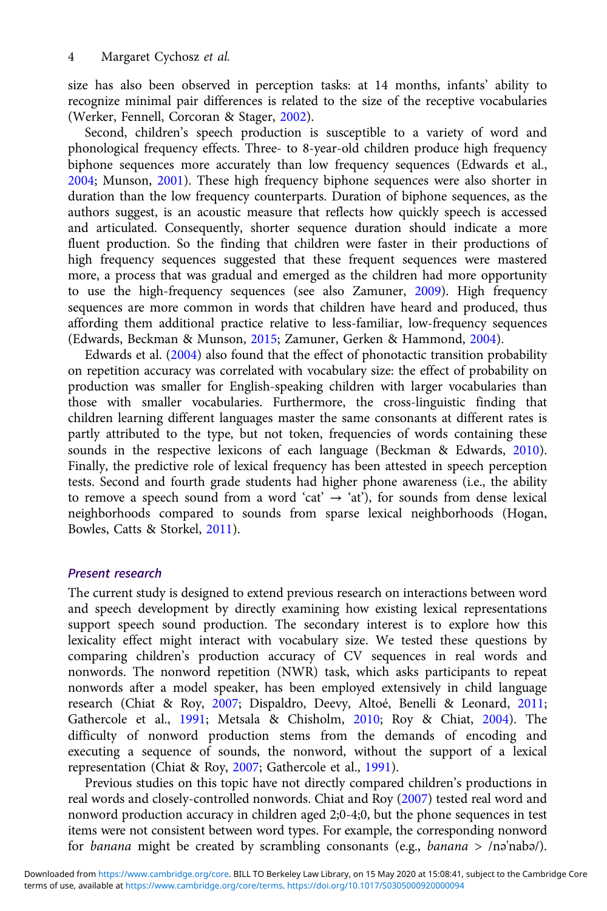size has also been observed in perception tasks: at 14 months, infants' ability to recognize minimal pair differences is related to the size of the receptive vocabularies (Werker, Fennell, Corcoran & Stager, [2002](#page-23-0)).

Second, children's speech production is susceptible to a variety of word and phonological frequency effects. Three- to 8-year-old children produce high frequency biphone sequences more accurately than low frequency sequences (Edwards et al., [2004;](#page-20-0) Munson, [2001](#page-21-0)). These high frequency biphone sequences were also shorter in duration than the low frequency counterparts. Duration of biphone sequences, as the authors suggest, is an acoustic measure that reflects how quickly speech is accessed and articulated. Consequently, shorter sequence duration should indicate a more fluent production. So the finding that children were faster in their productions of high frequency sequences suggested that these frequent sequences were mastered more, a process that was gradual and emerged as the children had more opportunity to use the high-frequency sequences (see also Zamuner, [2009](#page-23-0)). High frequency sequences are more common in words that children have heard and produced, thus affording them additional practice relative to less-familiar, low-frequency sequences (Edwards, Beckman & Munson, [2015;](#page-20-0) Zamuner, Gerken & Hammond, [2004](#page-23-0)).

Edwards et al. [\(2004\)](#page-20-0) also found that the effect of phonotactic transition probability on repetition accuracy was correlated with vocabulary size: the effect of probability on production was smaller for English-speaking children with larger vocabularies than those with smaller vocabularies. Furthermore, the cross-linguistic finding that children learning different languages master the same consonants at different rates is partly attributed to the type, but not token, frequencies of words containing these sounds in the respective lexicons of each language (Beckman & Edwards, [2010\)](#page-20-0). Finally, the predictive role of lexical frequency has been attested in speech perception tests. Second and fourth grade students had higher phone awareness (i.e., the ability to remove a speech sound from a word 'cat'  $\rightarrow$  'at'), for sounds from dense lexical neighborhoods compared to sounds from sparse lexical neighborhoods (Hogan, Bowles, Catts & Storkel, [2011](#page-21-0)).

## Present research

The current study is designed to extend previous research on interactions between word and speech development by directly examining how existing lexical representations support speech sound production. The secondary interest is to explore how this lexicality effect might interact with vocabulary size. We tested these questions by comparing children's production accuracy of CV sequences in real words and nonwords. The nonword repetition (NWR) task, which asks participants to repeat nonwords after a model speaker, has been employed extensively in child language research (Chiat & Roy, [2007](#page-20-0); Dispaldro, Deevy, Altoé, Benelli & Leonard, [2011](#page-20-0); Gathercole et al., [1991;](#page-20-0) Metsala & Chisholm, [2010;](#page-21-0) Roy & Chiat, [2004](#page-22-0)). The difficulty of nonword production stems from the demands of encoding and executing a sequence of sounds, the nonword, without the support of a lexical representation (Chiat & Roy, [2007;](#page-20-0) Gathercole et al., [1991\)](#page-20-0).

Previous studies on this topic have not directly compared children's productions in real words and closely-controlled nonwords. Chiat and Roy ([2007\)](#page-20-0) tested real word and nonword production accuracy in children aged 2;0-4;0, but the phone sequences in test items were not consistent between word types. For example, the corresponding nonword for *banana* might be created by scrambling consonants (e.g., *banana* >  $/$ nə'nabə $/$ ).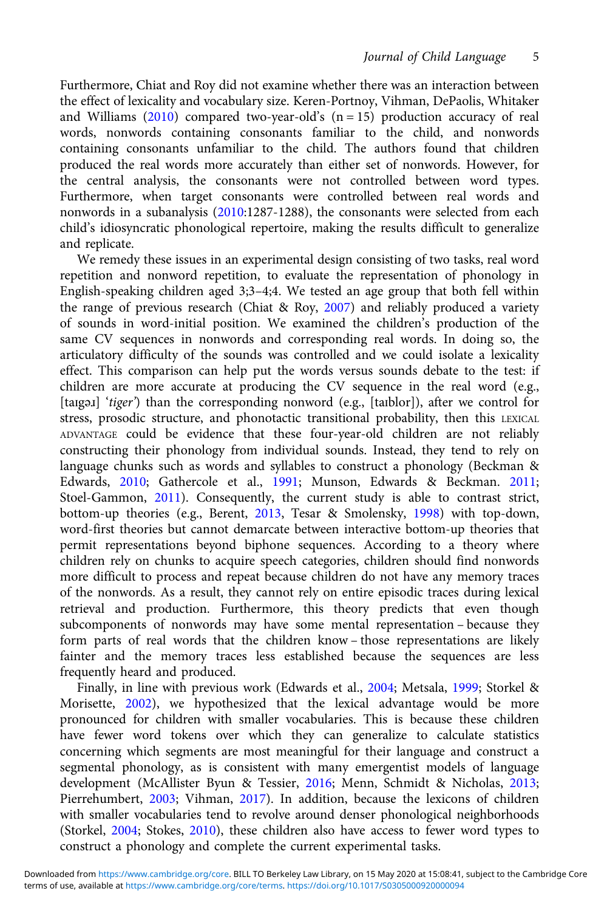Furthermore, Chiat and Roy did not examine whether there was an interaction between the effect of lexicality and vocabulary size. Keren-Portnoy, Vihman, DePaolis, Whitaker and Williams ( $2010$ ) compared two-year-old's (n = 15) production accuracy of real words, nonwords containing consonants familiar to the child, and nonwords containing consonants unfamiliar to the child. The authors found that children produced the real words more accurately than either set of nonwords. However, for the central analysis, the consonants were not controlled between word types. Furthermore, when target consonants were controlled between real words and nonwords in a subanalysis [\(2010](#page-21-0):1287-1288), the consonants were selected from each child's idiosyncratic phonological repertoire, making the results difficult to generalize and replicate.

We remedy these issues in an experimental design consisting of two tasks, real word repetition and nonword repetition, to evaluate the representation of phonology in English-speaking children aged 3;3–4;4. We tested an age group that both fell within the range of previous research (Chiat & Roy, [2007\)](#page-20-0) and reliably produced a variety of sounds in word-initial position. We examined the children's production of the same CV sequences in nonwords and corresponding real words. In doing so, the articulatory difficulty of the sounds was controlled and we could isolate a lexicality effect. This comparison can help put the words versus sounds debate to the test: if children are more accurate at producing the CV sequence in the real word (e.g., [taɪgəɪ] 'tiger') than the corresponding nonword (e.g., [taɪblor]), after we control for stress, prosodic structure, and phonotactic transitional probability, then this LEXICAL ADVANTAGE could be evidence that these four-year-old children are not reliably constructing their phonology from individual sounds. Instead, they tend to rely on language chunks such as words and syllables to construct a phonology (Beckman & Edwards, [2010;](#page-20-0) Gathercole et al., [1991;](#page-20-0) Munson, Edwards & Beckman. [2011;](#page-22-0) Stoel-Gammon, [2011](#page-22-0)). Consequently, the current study is able to contrast strict, bottom-up theories (e.g., Berent, [2013,](#page-20-0) Tesar & Smolensky, [1998](#page-22-0)) with top-down, word-first theories but cannot demarcate between interactive bottom-up theories that permit representations beyond biphone sequences. According to a theory where children rely on chunks to acquire speech categories, children should find nonwords more difficult to process and repeat because children do not have any memory traces of the nonwords. As a result, they cannot rely on entire episodic traces during lexical retrieval and production. Furthermore, this theory predicts that even though subcomponents of nonwords may have some mental representation – because they form parts of real words that the children know – those representations are likely fainter and the memory traces less established because the sequences are less frequently heard and produced.

Finally, in line with previous work (Edwards et al., [2004;](#page-20-0) Metsala, [1999;](#page-21-0) Storkel & Morisette, [2002\)](#page-22-0), we hypothesized that the lexical advantage would be more pronounced for children with smaller vocabularies. This is because these children have fewer word tokens over which they can generalize to calculate statistics concerning which segments are most meaningful for their language and construct a segmental phonology, as is consistent with many emergentist models of language development (McAllister Byun & Tessier, [2016;](#page-21-0) Menn, Schmidt & Nicholas, [2013;](#page-21-0) Pierrehumbert, [2003;](#page-22-0) Vihman, [2017\)](#page-23-0). In addition, because the lexicons of children with smaller vocabularies tend to revolve around denser phonological neighborhoods (Storkel, [2004;](#page-22-0) Stokes, [2010](#page-22-0)), these children also have access to fewer word types to construct a phonology and complete the current experimental tasks.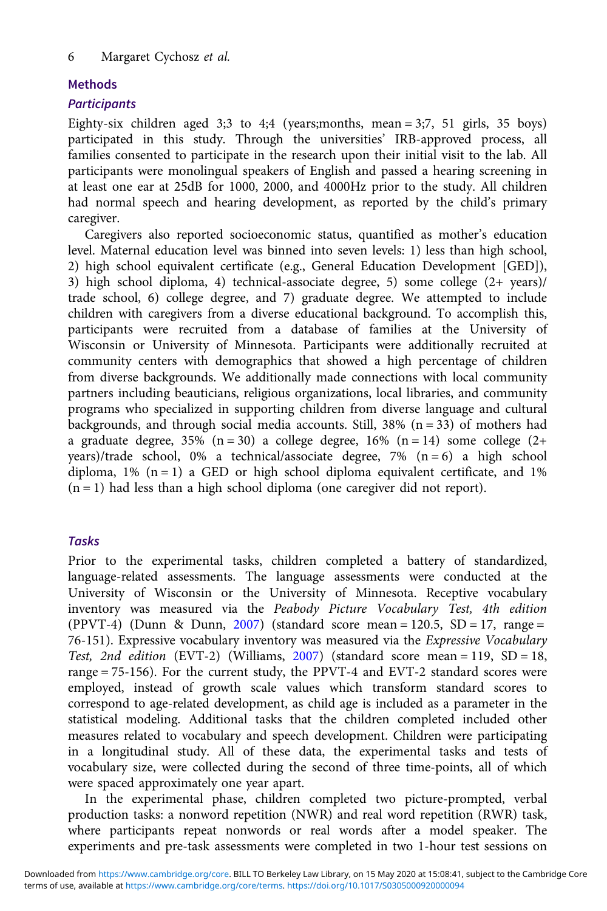# Methods

# **Participants**

Eighty-six children aged 3;3 to 4;4 (years;months, mean  $= 3;7, 51$  girls, 35 boys) participated in this study. Through the universities' IRB-approved process, all families consented to participate in the research upon their initial visit to the lab. All participants were monolingual speakers of English and passed a hearing screening in at least one ear at 25dB for 1000, 2000, and 4000Hz prior to the study. All children had normal speech and hearing development, as reported by the child's primary caregiver.

Caregivers also reported socioeconomic status, quantified as mother's education level. Maternal education level was binned into seven levels: 1) less than high school, 2) high school equivalent certificate (e.g., General Education Development [GED]), 3) high school diploma, 4) technical-associate degree, 5) some college (2+ years)/ trade school, 6) college degree, and 7) graduate degree. We attempted to include children with caregivers from a diverse educational background. To accomplish this, participants were recruited from a database of families at the University of Wisconsin or University of Minnesota. Participants were additionally recruited at community centers with demographics that showed a high percentage of children from diverse backgrounds. We additionally made connections with local community partners including beauticians, religious organizations, local libraries, and community programs who specialized in supporting children from diverse language and cultural backgrounds, and through social media accounts. Still,  $38\%$  (n = 33) of mothers had a graduate degree, 35%  $(n = 30)$  a college degree, 16%  $(n = 14)$  some college  $(2+$ years)/trade school, 0% a technical/associate degree, 7%  $(n = 6)$  a high school diploma,  $1\%$  (n = 1) a GED or high school diploma equivalent certificate, and  $1\%$  $(n = 1)$  had less than a high school diploma (one caregiver did not report).

# Tasks

Prior to the experimental tasks, children completed a battery of standardized, language-related assessments. The language assessments were conducted at the University of Wisconsin or the University of Minnesota. Receptive vocabulary inventory was measured via the Peabody Picture Vocabulary Test, 4th edition (PPVT-4) (Dunn & Dunn, [2007](#page-20-0)) (standard score mean = 120.5, SD = 17, range = 76-151). Expressive vocabulary inventory was measured via the Expressive Vocabulary Test, 2nd edition (EVT-2) (Williams, [2007](#page-23-0)) (standard score mean = 119,  $SD = 18$ , range = 75-156). For the current study, the PPVT-4 and EVT-2 standard scores were employed, instead of growth scale values which transform standard scores to correspond to age-related development, as child age is included as a parameter in the statistical modeling. Additional tasks that the children completed included other measures related to vocabulary and speech development. Children were participating in a longitudinal study. All of these data, the experimental tasks and tests of vocabulary size, were collected during the second of three time-points, all of which were spaced approximately one year apart.

In the experimental phase, children completed two picture-prompted, verbal production tasks: a nonword repetition (NWR) and real word repetition (RWR) task, where participants repeat nonwords or real words after a model speaker. The experiments and pre-task assessments were completed in two 1-hour test sessions on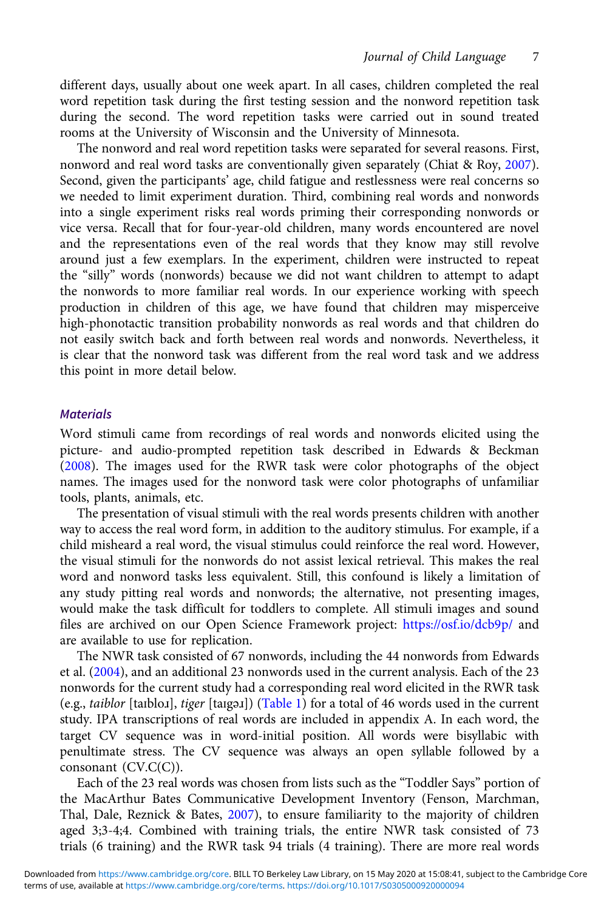different days, usually about one week apart. In all cases, children completed the real word repetition task during the first testing session and the nonword repetition task during the second. The word repetition tasks were carried out in sound treated rooms at the University of Wisconsin and the University of Minnesota.

The nonword and real word repetition tasks were separated for several reasons. First, nonword and real word tasks are conventionally given separately (Chiat & Roy, [2007](#page-20-0)). Second, given the participants' age, child fatigue and restlessness were real concerns so we needed to limit experiment duration. Third, combining real words and nonwords into a single experiment risks real words priming their corresponding nonwords or vice versa. Recall that for four-year-old children, many words encountered are novel and the representations even of the real words that they know may still revolve around just a few exemplars. In the experiment, children were instructed to repeat the "silly" words (nonwords) because we did not want children to attempt to adapt the nonwords to more familiar real words. In our experience working with speech production in children of this age, we have found that children may misperceive high-phonotactic transition probability nonwords as real words and that children do not easily switch back and forth between real words and nonwords. Nevertheless, it is clear that the nonword task was different from the real word task and we address this point in more detail below.

#### **Materials**

Word stimuli came from recordings of real words and nonwords elicited using the picture- and audio-prompted repetition task described in Edwards & Beckman ([2008\)](#page-20-0). The images used for the RWR task were color photographs of the object names. The images used for the nonword task were color photographs of unfamiliar tools, plants, animals, etc.

The presentation of visual stimuli with the real words presents children with another way to access the real word form, in addition to the auditory stimulus. For example, if a child misheard a real word, the visual stimulus could reinforce the real word. However, the visual stimuli for the nonwords do not assist lexical retrieval. This makes the real word and nonword tasks less equivalent. Still, this confound is likely a limitation of any study pitting real words and nonwords; the alternative, not presenting images, would make the task difficult for toddlers to complete. All stimuli images and sound files are archived on our Open Science Framework project: [https://osf.io/dcb9p/](http://www.praat.org/) and are available to use for replication.

The NWR task consisted of 67 nonwords, including the 44 nonwords from Edwards et al. ([2004](#page-20-0)), and an additional 23 nonwords used in the current analysis. Each of the 23 nonwords for the current study had a corresponding real word elicited in the RWR task (e.g., taiblor [taɪbloɹ], tiger [taɪgəɹ]) ([Table 1](#page-7-0)) for a total of 46 words used in the current study. IPA transcriptions of real words are included in appendix A. In each word, the target CV sequence was in word-initial position. All words were bisyllabic with penultimate stress. The CV sequence was always an open syllable followed by a consonant (CV.C(C)).

Each of the 23 real words was chosen from lists such as the "Toddler Says" portion of the MacArthur Bates Communicative Development Inventory (Fenson, Marchman, Thal, Dale, Reznick & Bates, [2007](#page-20-0)), to ensure familiarity to the majority of children aged 3;3-4;4. Combined with training trials, the entire NWR task consisted of 73 trials (6 training) and the RWR task 94 trials (4 training). There are more real words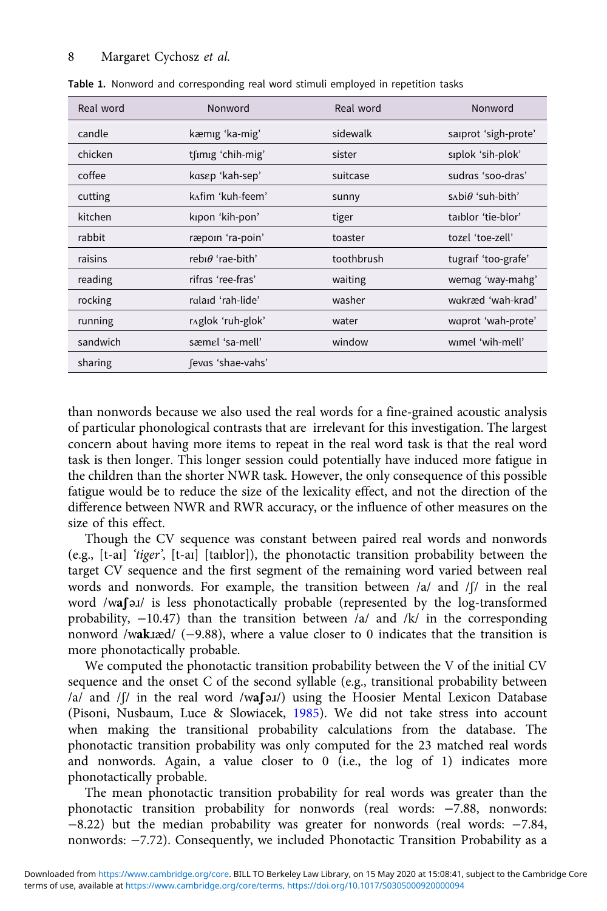#### <span id="page-7-0"></span>8 Margaret Cychosz et al.

| Real word | Nonword                  | Real word  | Nonword                              |
|-----------|--------------------------|------------|--------------------------------------|
| candle    | kæmig 'ka-mig'           | sidewalk   | sarprot 'sigh-prote'                 |
| chicken   | tfimig 'chih-mig'        | sister     | siplok 'sih-plok'                    |
| coffee    | kasep 'kah-sep'          | suitcase   | sudras 'soo-dras'                    |
| cutting   | k^fim 'kuh-feem'         | sunny      | $s_{\Lambda}$ bi $\theta$ 'suh-bith' |
| kitchen   | kipon 'kih-pon'          | tiger      | tarblor 'tie-blor'                   |
| rabbit    | ræpoin 'ra-poin'         | toaster    | tozel 'toe-zell'                     |
| raisins   | rebi $\theta$ 'rae-bith' | toothbrush | tugraif 'too-grafe'                  |
| reading   | rifras 'ree-fras'        | waiting    | wemag 'way-mahg'                     |
| rocking   | ralard 'rah-lide'        | washer     | wakræd 'wah-krad'                    |
| running   | raglok 'ruh-glok'        | water      | waprot 'wah-prote'                   |
| sandwich  | sæmel 'sa-mell'          | window     | wimel 'wih-mell'                     |
| sharing   | fevas 'shae-vahs'        |            |                                      |

|  |  | Table 1. Nonword and corresponding real word stimuli employed in repetition tasks |  |  |  |  |
|--|--|-----------------------------------------------------------------------------------|--|--|--|--|
|--|--|-----------------------------------------------------------------------------------|--|--|--|--|

than nonwords because we also used the real words for a fine-grained acoustic analysis of particular phonological contrasts that are irrelevant for this investigation. The largest concern about having more items to repeat in the real word task is that the real word task is then longer. This longer session could potentially have induced more fatigue in the children than the shorter NWR task. However, the only consequence of this possible fatigue would be to reduce the size of the lexicality effect, and not the direction of the difference between NWR and RWR accuracy, or the influence of other measures on the size of this effect.

Though the CV sequence was constant between paired real words and nonwords (e.g., [t-aɪ] 'tiger', [t-aɪ] [taɪblor]), the phonotactic transition probability between the target CV sequence and the first segment of the remaining word varied between real words and nonwords. For example, the transition between /a/ and /ʃ/ in the real word /wafa1/ is less phonotactically probable (represented by the log-transformed probability,  $-10.47$ ) than the transition between  $\sqrt{a}$  and  $\sqrt{k}$  in the corresponding nonword /wakɹæd/ (−9.88), where a value closer to 0 indicates that the transition is more phonotactically probable.

We computed the phonotactic transition probability between the V of the initial CV sequence and the onset C of the second syllable (e.g., transitional probability between /a/ and /ʃ/ in the real word /waʃəɹ/) using the Hoosier Mental Lexicon Database (Pisoni, Nusbaum, Luce & Slowiacek, [1985\)](#page-22-0). We did not take stress into account when making the transitional probability calculations from the database. The phonotactic transition probability was only computed for the 23 matched real words and nonwords. Again, a value closer to 0 (i.e., the log of 1) indicates more phonotactically probable.

The mean phonotactic transition probability for real words was greater than the phonotactic transition probability for nonwords (real words: −7.88, nonwords: −8.22) but the median probability was greater for nonwords (real words: −7.84, nonwords: −7.72). Consequently, we included Phonotactic Transition Probability as a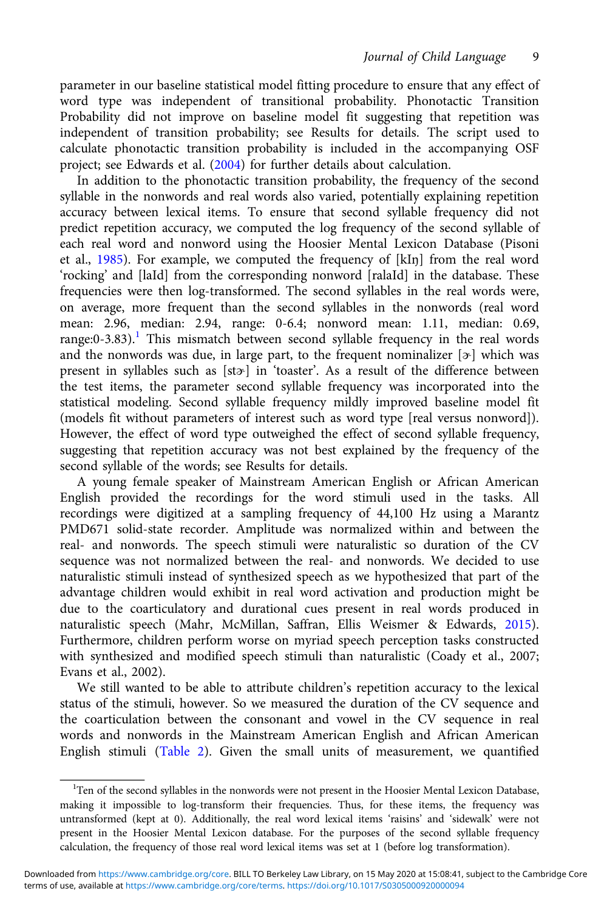parameter in our baseline statistical model fitting procedure to ensure that any effect of word type was independent of transitional probability. Phonotactic Transition Probability did not improve on baseline model fit suggesting that repetition was independent of transition probability; see Results for details. The script used to calculate phonotactic transition probability is included in the accompanying OSF project; see Edwards et al. [\(2004\)](#page-20-0) for further details about calculation.

In addition to the phonotactic transition probability, the frequency of the second syllable in the nonwords and real words also varied, potentially explaining repetition accuracy between lexical items. To ensure that second syllable frequency did not predict repetition accuracy, we computed the log frequency of the second syllable of each real word and nonword using the Hoosier Mental Lexicon Database (Pisoni et al., [1985](#page-22-0)). For example, we computed the frequency of [kIŋ] from the real word 'rocking' and [laId] from the corresponding nonword [ralaId] in the database. These frequencies were then log-transformed. The second syllables in the real words were, on average, more frequent than the second syllables in the nonwords (real word mean: 2.96, median: 2.94, range: 0-6.4; nonword mean: 1.11, median: 0.69, range:0-3.83).<sup>1</sup> This mismatch between second syllable frequency in the real words and the nonwords was due, in large part, to the frequent nominalizer  $[\infty]$  which was present in syllables such as [st<sup>x</sup>] in 'toaster'. As a result of the difference between the test items, the parameter second syllable frequency was incorporated into the statistical modeling. Second syllable frequency mildly improved baseline model fit (models fit without parameters of interest such as word type [real versus nonword]). However, the effect of word type outweighed the effect of second syllable frequency, suggesting that repetition accuracy was not best explained by the frequency of the second syllable of the words; see Results for details.

A young female speaker of Mainstream American English or African American English provided the recordings for the word stimuli used in the tasks. All recordings were digitized at a sampling frequency of 44,100 Hz using a Marantz PMD671 solid-state recorder. Amplitude was normalized within and between the real- and nonwords. The speech stimuli were naturalistic so duration of the CV sequence was not normalized between the real- and nonwords. We decided to use naturalistic stimuli instead of synthesized speech as we hypothesized that part of the advantage children would exhibit in real word activation and production might be due to the coarticulatory and durational cues present in real words produced in naturalistic speech (Mahr, McMillan, Saffran, Ellis Weismer & Edwards, [2015](#page-21-0)). Furthermore, children perform worse on myriad speech perception tasks constructed with synthesized and modified speech stimuli than naturalistic (Coady et al., 2007; Evans et al., 2002).

We still wanted to be able to attribute children's repetition accuracy to the lexical status of the stimuli, however. So we measured the duration of the CV sequence and the coarticulation between the consonant and vowel in the CV sequence in real words and nonwords in the Mainstream American English and African American English stimuli [\(Table 2\)](#page-9-0). Given the small units of measurement, we quantified

<sup>&</sup>lt;sup>1</sup>Ten of the second syllables in the nonwords were not present in the Hoosier Mental Lexicon Database, making it impossible to log-transform their frequencies. Thus, for these items, the frequency was untransformed (kept at 0). Additionally, the real word lexical items 'raisins' and 'sidewalk' were not present in the Hoosier Mental Lexicon database. For the purposes of the second syllable frequency calculation, the frequency of those real word lexical items was set at 1 (before log transformation).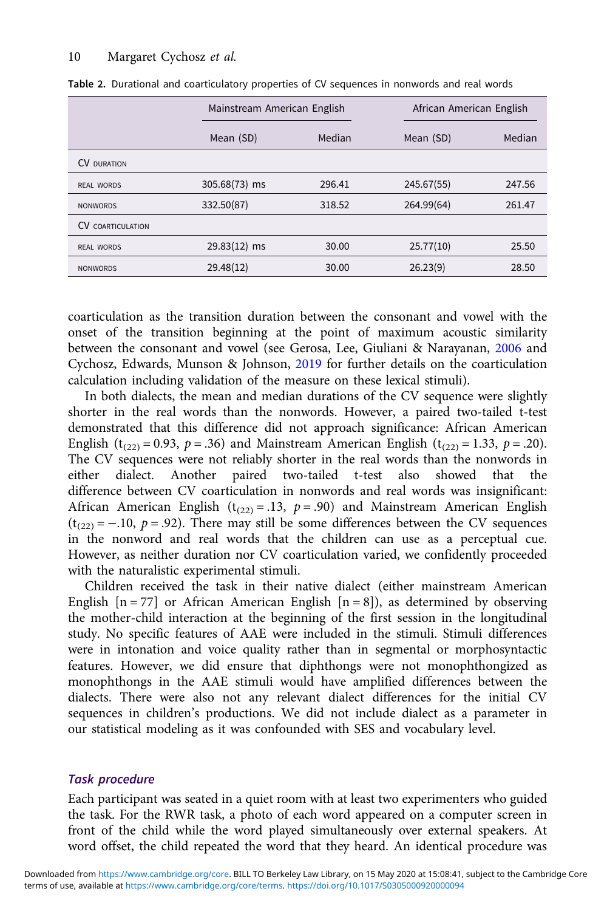|                          |                 | Mainstream American English |            | African American English |  |
|--------------------------|-----------------|-----------------------------|------------|--------------------------|--|
|                          | Mean (SD)       | Median                      | Mean (SD)  | Median                   |  |
| <b>CV DURATION</b>       |                 |                             |            |                          |  |
| <b>REAL WORDS</b>        | $305.68(73)$ ms | 296.41                      | 245.67(55) | 247.56                   |  |
| <b>NONWORDS</b>          | 332.50(87)      | 318.52                      | 264.99(64) | 261.47                   |  |
| <b>CV COARTICULATION</b> |                 |                             |            |                          |  |
| <b>REAL WORDS</b>        | $29.83(12)$ ms  | 30.00                       | 25.77(10)  | 25.50                    |  |
| <b>NONWORDS</b>          | 29.48(12)       | 30.00                       | 26.23(9)   | 28.50                    |  |

<span id="page-9-0"></span>Table 2. Durational and coarticulatory properties of CV sequences in nonwords and real words

coarticulation as the transition duration between the consonant and vowel with the onset of the transition beginning at the point of maximum acoustic similarity between the consonant and vowel (see Gerosa, Lee, Giuliani & Narayanan, [2006](#page-21-0) and Cychosz, Edwards, Munson & Johnson, [2019](#page-20-0) for further details on the coarticulation calculation including validation of the measure on these lexical stimuli).

In both dialects, the mean and median durations of the CV sequence were slightly shorter in the real words than the nonwords. However, a paired two-tailed t-test demonstrated that this difference did not approach significance: African American English (t<sub>(22)</sub> = 0.93, p = .36) and Mainstream American English (t<sub>(22)</sub> = 1.33, p = .20). The CV sequences were not reliably shorter in the real words than the nonwords in either dialect. Another paired two-tailed t-test also showed that the difference between CV coarticulation in nonwords and real words was insignificant: African American English ( $t_{(22)} = .13$ ,  $p = .90$ ) and Mainstream American English  $(t_{(22)} = -.10, p = .92)$ . There may still be some differences between the CV sequences in the nonword and real words that the children can use as a perceptual cue. However, as neither duration nor CV coarticulation varied, we confidently proceeded with the naturalistic experimental stimuli.

Children received the task in their native dialect (either mainstream American English  $[n = 77]$  or African American English  $[n = 8]$ , as determined by observing the mother-child interaction at the beginning of the first session in the longitudinal study. No specific features of AAE were included in the stimuli. Stimuli differences were in intonation and voice quality rather than in segmental or morphosyntactic features. However, we did ensure that diphthongs were not monophthongized as monophthongs in the AAE stimuli would have amplified differences between the dialects. There were also not any relevant dialect differences for the initial CV sequences in children's productions. We did not include dialect as a parameter in our statistical modeling as it was confounded with SES and vocabulary level.

## Task procedure

Each participant was seated in a quiet room with at least two experimenters who guided the task. For the RWR task, a photo of each word appeared on a computer screen in front of the child while the word played simultaneously over external speakers. At word offset, the child repeated the word that they heard. An identical procedure was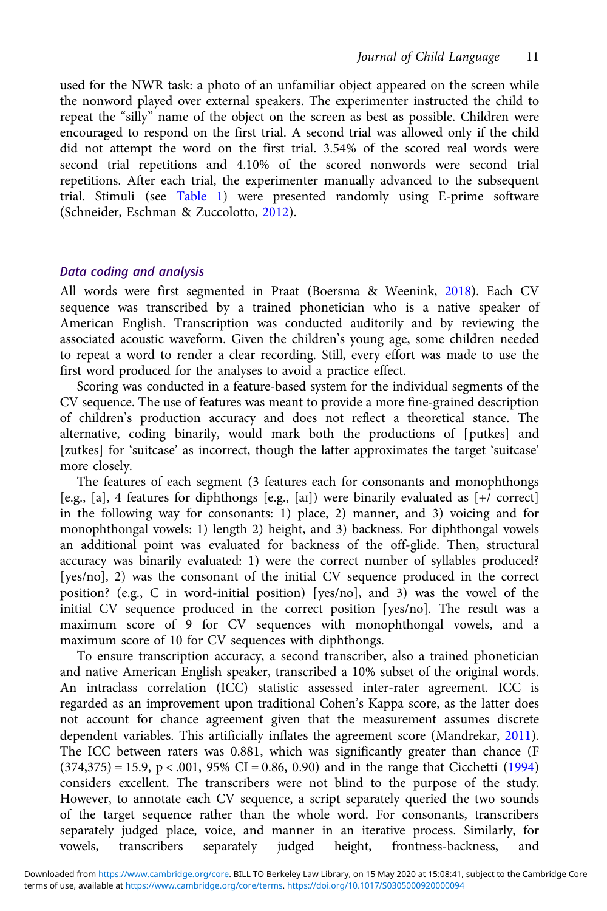used for the NWR task: a photo of an unfamiliar object appeared on the screen while the nonword played over external speakers. The experimenter instructed the child to repeat the "silly" name of the object on the screen as best as possible. Children were encouraged to respond on the first trial. A second trial was allowed only if the child did not attempt the word on the first trial. 3.54% of the scored real words were second trial repetitions and 4.10% of the scored nonwords were second trial repetitions. After each trial, the experimenter manually advanced to the subsequent trial. Stimuli (see [Table 1](#page-7-0)) were presented randomly using E-prime software (Schneider, Eschman & Zuccolotto, [2012](#page-22-0)).

## Data coding and analysis

All words were first segmented in Praat (Boersma & Weenink, [2018](#page-20-0)). Each CV sequence was transcribed by a trained phonetician who is a native speaker of American English. Transcription was conducted auditorily and by reviewing the associated acoustic waveform. Given the children's young age, some children needed to repeat a word to render a clear recording. Still, every effort was made to use the first word produced for the analyses to avoid a practice effect.

Scoring was conducted in a feature-based system for the individual segments of the CV sequence. The use of features was meant to provide a more fine-grained description of children's production accuracy and does not reflect a theoretical stance. The alternative, coding binarily, would mark both the productions of [putkes] and [zutkes] for 'suitcase' as incorrect, though the latter approximates the target 'suitcase' more closely.

The features of each segment (3 features each for consonants and monophthongs [e.g., [a], 4 features for diphthongs [e.g., [aɪ]) were binarily evaluated as [+/ correct] in the following way for consonants: 1) place, 2) manner, and 3) voicing and for monophthongal vowels: 1) length 2) height, and 3) backness. For diphthongal vowels an additional point was evaluated for backness of the off-glide. Then, structural accuracy was binarily evaluated: 1) were the correct number of syllables produced? [yes/no], 2) was the consonant of the initial CV sequence produced in the correct position? (e.g., C in word-initial position) [yes/no], and 3) was the vowel of the initial CV sequence produced in the correct position [yes/no]. The result was a maximum score of 9 for CV sequences with monophthongal vowels, and a maximum score of 10 for CV sequences with diphthongs.

To ensure transcription accuracy, a second transcriber, also a trained phonetician and native American English speaker, transcribed a 10% subset of the original words. An intraclass correlation (ICC) statistic assessed inter-rater agreement. ICC is regarded as an improvement upon traditional Cohen's Kappa score, as the latter does not account for chance agreement given that the measurement assumes discrete dependent variables. This artificially inflates the agreement score (Mandrekar, [2011](#page-21-0)). The ICC between raters was 0.881, which was significantly greater than chance (F  $(374,375) = 15.9, p < .001, 95\% \text{ CI} = 0.86, 0.90$  and in the range that Cicchetti ([1994](#page-20-0)) considers excellent. The transcribers were not blind to the purpose of the study. However, to annotate each CV sequence, a script separately queried the two sounds of the target sequence rather than the whole word. For consonants, transcribers separately judged place, voice, and manner in an iterative process. Similarly, for vowels, transcribers separately judged height, frontness-backness, and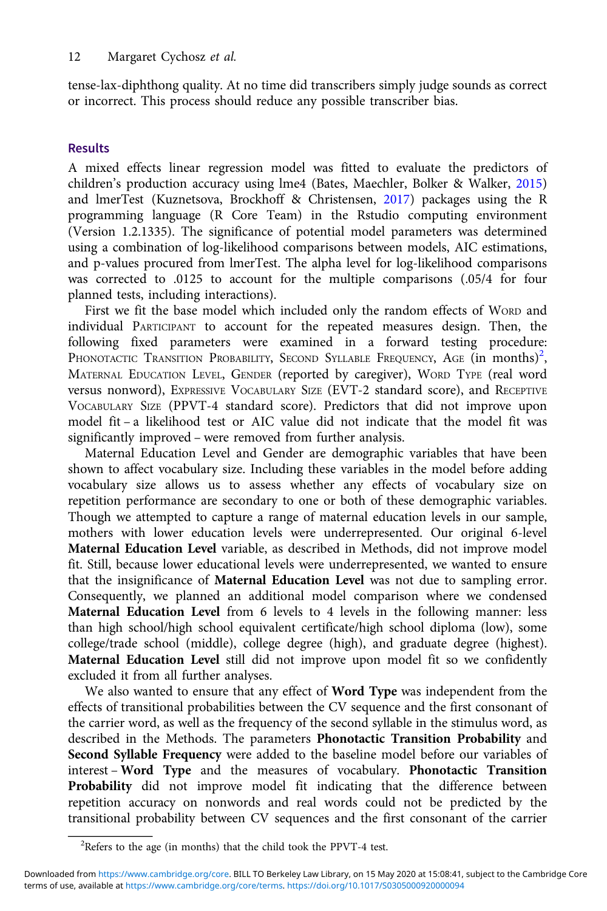tense-lax-diphthong quality. At no time did transcribers simply judge sounds as correct or incorrect. This process should reduce any possible transcriber bias.

# Results

A mixed effects linear regression model was fitted to evaluate the predictors of children's production accuracy using lme4 (Bates, Maechler, Bolker & Walker, [2015](#page-20-0)) and lmerTest (Kuznetsova, Brockhoff & Christensen, [2017](#page-21-0)) packages using the R programming language (R Core Team) in the Rstudio computing environment (Version 1.2.1335). The significance of potential model parameters was determined using a combination of log-likelihood comparisons between models, AIC estimations, and p-values procured from lmerTest. The alpha level for log-likelihood comparisons was corrected to .0125 to account for the multiple comparisons (.05/4 for four planned tests, including interactions).

First we fit the base model which included only the random effects of WORD and individual PARTICIPANT to account for the repeated measures design. Then, the following fixed parameters were examined in a forward testing procedure: PHONOTACTIC TRANSITION PROBABILITY, SECOND SYLLABLE FREQUENCY, AGE (in months)<sup>2</sup>, MATERNAL EDUCATION LEVEL, GENDER (reported by caregiver), WORD TYPE (real word versus nonword), EXPRESSIVE VOCABULARY SIZE (EVT-2 standard score), and RECEPTIVE VOCABULARY SIZE (PPVT-4 standard score). Predictors that did not improve upon model fit – a likelihood test or AIC value did not indicate that the model fit was significantly improved – were removed from further analysis.

Maternal Education Level and Gender are demographic variables that have been shown to affect vocabulary size. Including these variables in the model before adding vocabulary size allows us to assess whether any effects of vocabulary size on repetition performance are secondary to one or both of these demographic variables. Though we attempted to capture a range of maternal education levels in our sample, mothers with lower education levels were underrepresented. Our original 6-level Maternal Education Level variable, as described in Methods, did not improve model fit. Still, because lower educational levels were underrepresented, we wanted to ensure that the insignificance of Maternal Education Level was not due to sampling error. Consequently, we planned an additional model comparison where we condensed Maternal Education Level from 6 levels to 4 levels in the following manner: less than high school/high school equivalent certificate/high school diploma (low), some college/trade school (middle), college degree (high), and graduate degree (highest). Maternal Education Level still did not improve upon model fit so we confidently excluded it from all further analyses.

We also wanted to ensure that any effect of Word Type was independent from the effects of transitional probabilities between the CV sequence and the first consonant of the carrier word, as well as the frequency of the second syllable in the stimulus word, as described in the Methods. The parameters Phonotactic Transition Probability and Second Syllable Frequency were added to the baseline model before our variables of interest – Word Type and the measures of vocabulary. Phonotactic Transition Probability did not improve model fit indicating that the difference between repetition accuracy on nonwords and real words could not be predicted by the transitional probability between CV sequences and the first consonant of the carrier

<sup>&</sup>lt;sup>2</sup>Refers to the age (in months) that the child took the PPVT-4 test.

terms of use, available at [https://www.cambridge.org/core/terms.](https://www.cambridge.org/core/terms) <https://doi.org/10.1017/S0305000920000094> Downloaded from [https://www.cambridge.org/core.](https://www.cambridge.org/core) BILL TO Berkeley Law Library, on 15 May 2020 at 15:08:41, subject to the Cambridge Core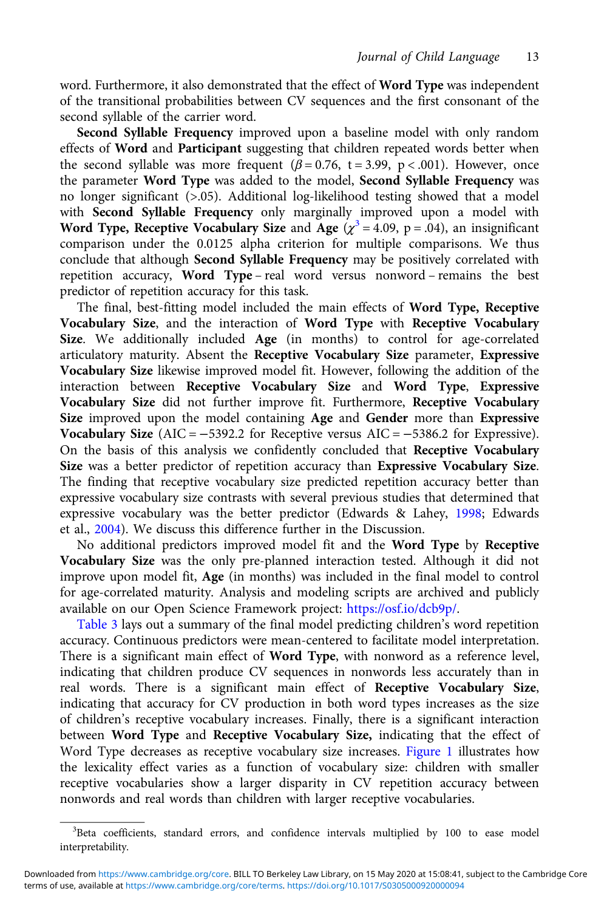word. Furthermore, it also demonstrated that the effect of Word Type was independent of the transitional probabilities between CV sequences and the first consonant of the second syllable of the carrier word.

Second Syllable Frequency improved upon a baseline model with only random effects of Word and Participant suggesting that children repeated words better when the second syllable was more frequent ( $\beta$  = 0.76, t = 3.99, p < .001). However, once the parameter Word Type was added to the model, Second Syllable Frequency was no longer significant (>.05). Additional log-likelihood testing showed that a model with Second Syllable Frequency only marginally improved upon a model with Word Type, Receptive Vocabulary Size and Age  $(\chi^3 = 4.09, p = .04)$ , an insignificant comparison under the 0.0125 alpha criterion for multiple comparisons. We thus conclude that although Second Syllable Frequency may be positively correlated with repetition accuracy, Word Type – real word versus nonword – remains the best predictor of repetition accuracy for this task.

The final, best-fitting model included the main effects of Word Type, Receptive Vocabulary Size, and the interaction of Word Type with Receptive Vocabulary Size. We additionally included Age (in months) to control for age-correlated articulatory maturity. Absent the Receptive Vocabulary Size parameter, Expressive Vocabulary Size likewise improved model fit. However, following the addition of the interaction between Receptive Vocabulary Size and Word Type, Expressive Vocabulary Size did not further improve fit. Furthermore, Receptive Vocabulary Size improved upon the model containing Age and Gender more than Expressive Vocabulary Size  $(AIC = -5392.2$  for Receptive versus  $AIC = -5386.2$  for Expressive). On the basis of this analysis we confidently concluded that Receptive Vocabulary Size was a better predictor of repetition accuracy than Expressive Vocabulary Size. The finding that receptive vocabulary size predicted repetition accuracy better than expressive vocabulary size contrasts with several previous studies that determined that expressive vocabulary was the better predictor (Edwards & Lahey, [1998;](#page-20-0) Edwards et al., [2004\)](#page-20-0). We discuss this difference further in the Discussion.

No additional predictors improved model fit and the Word Type by Receptive Vocabulary Size was the only pre-planned interaction tested. Although it did not improve upon model fit, Age (in months) was included in the final model to control for age-correlated maturity. Analysis and modeling scripts are archived and publicly available on our Open Science Framework project: <https://osf.io/dcb9p/>.

[Table 3](#page-13-0) lays out a summary of the final model predicting children's word repetition accuracy. Continuous predictors were mean-centered to facilitate model interpretation. There is a significant main effect of Word Type, with nonword as a reference level, indicating that children produce CV sequences in nonwords less accurately than in real words. There is a significant main effect of Receptive Vocabulary Size, indicating that accuracy for CV production in both word types increases as the size of children's receptive vocabulary increases. Finally, there is a significant interaction between Word Type and Receptive Vocabulary Size, indicating that the effect of Word Type decreases as receptive vocabulary size increases. [Figure 1](#page-13-0) illustrates how the lexicality effect varies as a function of vocabulary size: children with smaller receptive vocabularies show a larger disparity in CV repetition accuracy between nonwords and real words than children with larger receptive vocabularies.

<sup>&</sup>lt;sup>3</sup>Beta coefficients, standard errors, and confidence intervals multiplied by 100 to ease model interpretability.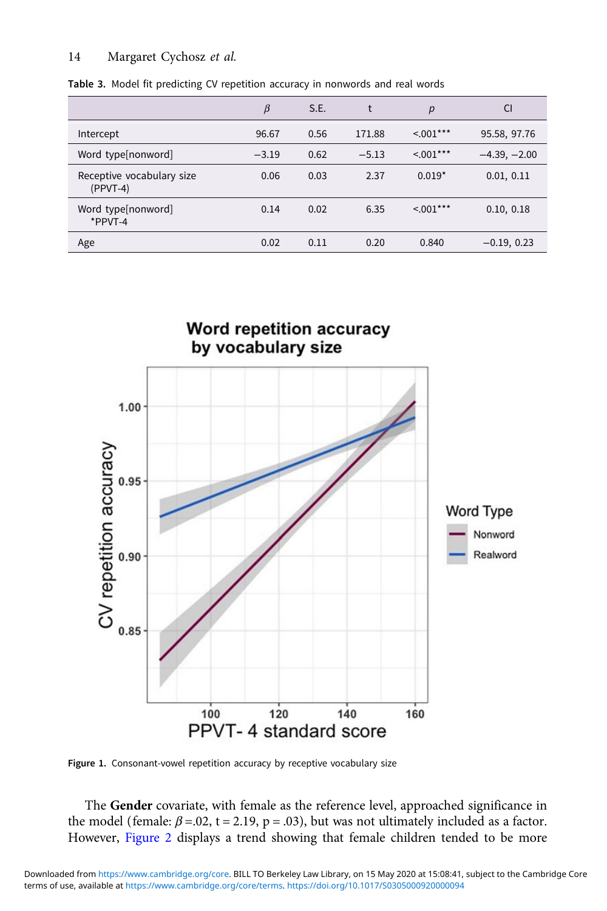## <span id="page-13-0"></span>14 Margaret Cychosz et al.

|                                         | $\beta$ | S.E. | t       | $\boldsymbol{p}$ | <b>CI</b>      |
|-----------------------------------------|---------|------|---------|------------------|----------------|
| Intercept                               | 96.67   | 0.56 | 171.88  | $< 0.01$ ***     | 95.58, 97.76   |
| Word type[nonword]                      | $-3.19$ | 0.62 | $-5.13$ | $15001***$       | $-4.39, -2.00$ |
| Receptive vocabulary size<br>$(PPVT-4)$ | 0.06    | 0.03 | 2.37    | $0.019*$         | 0.01, 0.11     |
| Word type[nonword]<br>*PPVT-4           | 0.14    | 0.02 | 6.35    | $15.001***$      | 0.10, 0.18     |
| Age                                     | 0.02    | 0.11 | 0.20    | 0.840            | $-0.19, 0.23$  |



Figure 1. Consonant-vowel repetition accuracy by receptive vocabulary size

The Gender covariate, with female as the reference level, approached significance in the model (female:  $\beta$  =.02, t = 2.19, p = .03), but was not ultimately included as a factor. However, [Figure 2](#page-14-0) displays a trend showing that female children tended to be more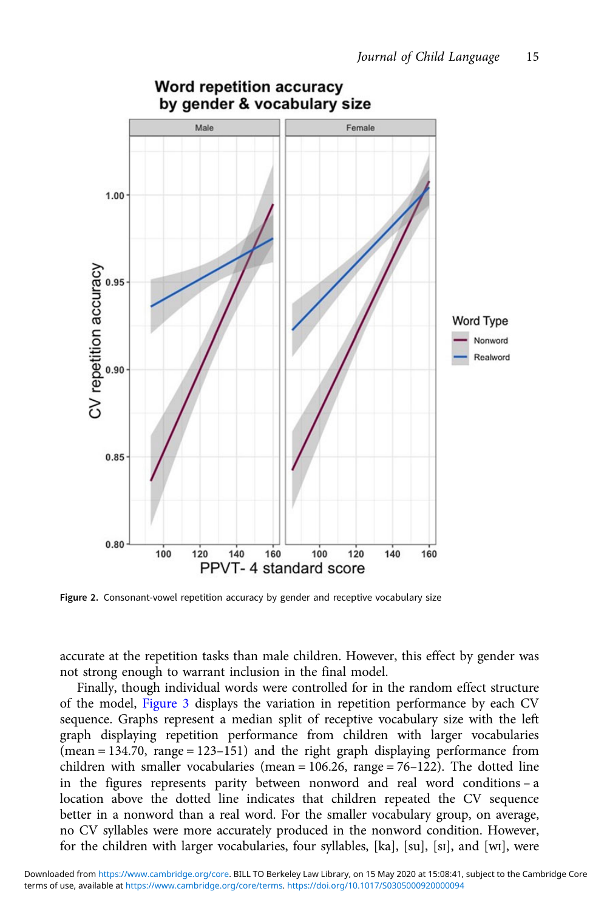<span id="page-14-0"></span>

Figure 2. Consonant-vowel repetition accuracy by gender and receptive vocabulary size

accurate at the repetition tasks than male children. However, this effect by gender was not strong enough to warrant inclusion in the final model.

Finally, though individual words were controlled for in the random effect structure of the model, [Figure 3](#page-15-0) displays the variation in repetition performance by each CV sequence. Graphs represent a median split of receptive vocabulary size with the left graph displaying repetition performance from children with larger vocabularies  $(mean = 134.70, range = 123-151)$  and the right graph displaying performance from children with smaller vocabularies (mean =  $106.26$ , range =  $76-122$ ). The dotted line in the figures represents parity between nonword and real word conditions – a location above the dotted line indicates that children repeated the CV sequence better in a nonword than a real word. For the smaller vocabulary group, on average, no CV syllables were more accurately produced in the nonword condition. However, for the children with larger vocabularies, four syllables, [ka], [su], [sɪ], and [wɪ], were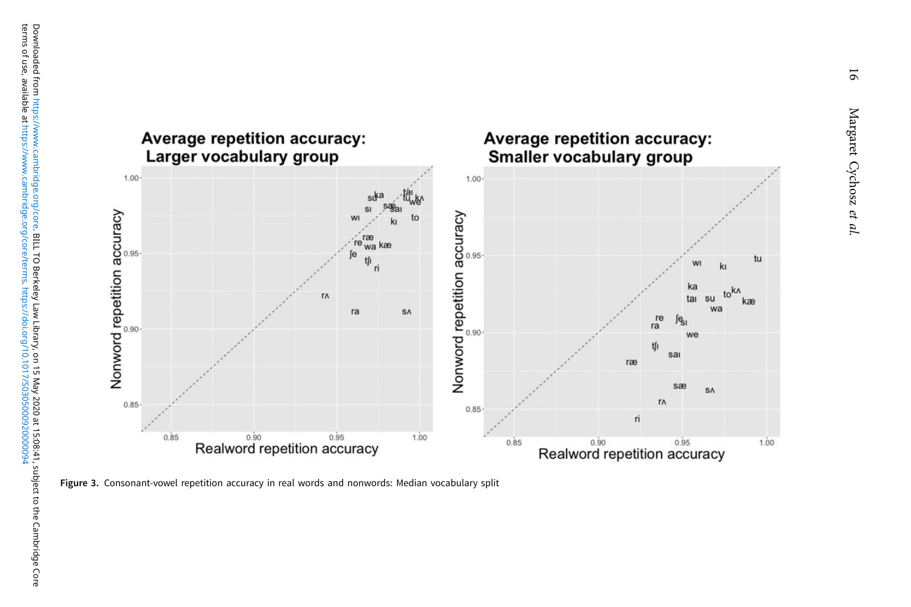<span id="page-15-0"></span>



ræ

ri

0.95<br>Realword repetition accuracy

sæ

r۸

 $S_{\Lambda}$ 

 $1.00$ 

0.85

 $0.\dot{8}5$ 

 $s$ 

ræ re wa kæ ſe

tfi ri

ra

 $\overline{a}$ 

 $S_{\Lambda}$ 

 $1.00$ 

Figure 3. Consonant-vowel repetition accuracy in real words and nonwords: Median vocabulary split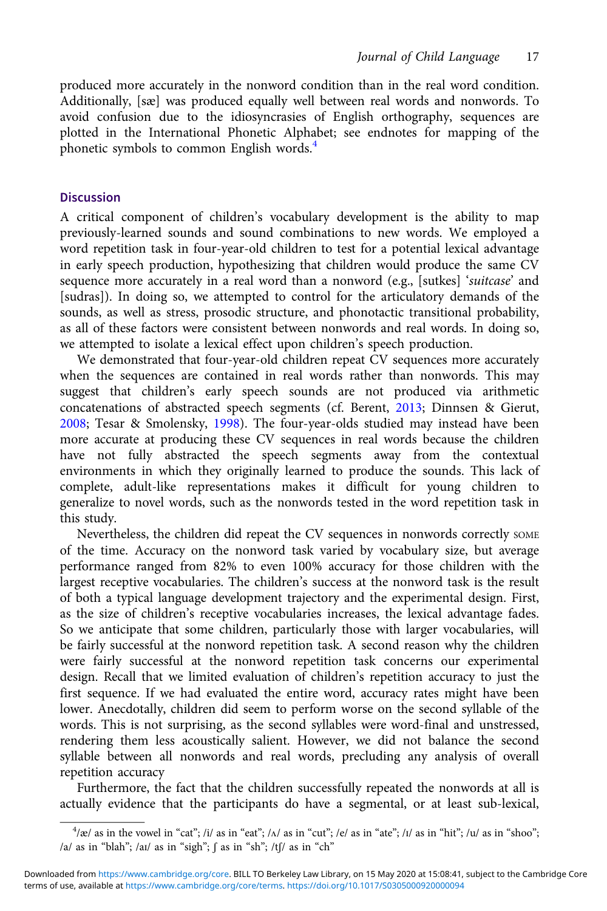produced more accurately in the nonword condition than in the real word condition. Additionally, [sæ] was produced equally well between real words and nonwords. To avoid confusion due to the idiosyncrasies of English orthography, sequences are plotted in the International Phonetic Alphabet; see endnotes for mapping of the phonetic symbols to common English words.<sup>4</sup>

## **Discussion**

A critical component of children's vocabulary development is the ability to map previously-learned sounds and sound combinations to new words. We employed a word repetition task in four-year-old children to test for a potential lexical advantage in early speech production, hypothesizing that children would produce the same CV sequence more accurately in a real word than a nonword (e.g., [sutkes] 'suitcase' and [sudras]). In doing so, we attempted to control for the articulatory demands of the sounds, as well as stress, prosodic structure, and phonotactic transitional probability, as all of these factors were consistent between nonwords and real words. In doing so, we attempted to isolate a lexical effect upon children's speech production.

We demonstrated that four-year-old children repeat CV sequences more accurately when the sequences are contained in real words rather than nonwords. This may suggest that children's early speech sounds are not produced via arithmetic concatenations of abstracted speech segments (cf. Berent, [2013;](#page-20-0) Dinnsen & Gierut, [2008](#page-20-0); Tesar & Smolensky, [1998](#page-22-0)). The four-year-olds studied may instead have been more accurate at producing these CV sequences in real words because the children have not fully abstracted the speech segments away from the contextual environments in which they originally learned to produce the sounds. This lack of complete, adult-like representations makes it difficult for young children to generalize to novel words, such as the nonwords tested in the word repetition task in this study.

Nevertheless, the children did repeat the CV sequences in nonwords correctly SOME of the time. Accuracy on the nonword task varied by vocabulary size, but average performance ranged from 82% to even 100% accuracy for those children with the largest receptive vocabularies. The children's success at the nonword task is the result of both a typical language development trajectory and the experimental design. First, as the size of children's receptive vocabularies increases, the lexical advantage fades. So we anticipate that some children, particularly those with larger vocabularies, will be fairly successful at the nonword repetition task. A second reason why the children were fairly successful at the nonword repetition task concerns our experimental design. Recall that we limited evaluation of children's repetition accuracy to just the first sequence. If we had evaluated the entire word, accuracy rates might have been lower. Anecdotally, children did seem to perform worse on the second syllable of the words. This is not surprising, as the second syllables were word-final and unstressed, rendering them less acoustically salient. However, we did not balance the second syllable between all nonwords and real words, precluding any analysis of overall repetition accuracy

Furthermore, the fact that the children successfully repeated the nonwords at all is actually evidence that the participants do have a segmental, or at least sub-lexical,

 $^{4}/\text{æ/}$  as in the vowel in "cat"; /i/ as in "eat"; / $\land$ / as in "cut"; /e/ as in "ate"; /i/ as in "hit"; /u/ as in "shoo"; /a/ as in "blah"; /aɪ/ as in "sigh"; ʃ as in "sh"; /tʃ/ as in "ch"

terms of use, available at [https://www.cambridge.org/core/terms.](https://www.cambridge.org/core/terms) <https://doi.org/10.1017/S0305000920000094> Downloaded from [https://www.cambridge.org/core.](https://www.cambridge.org/core) BILL TO Berkeley Law Library, on 15 May 2020 at 15:08:41, subject to the Cambridge Core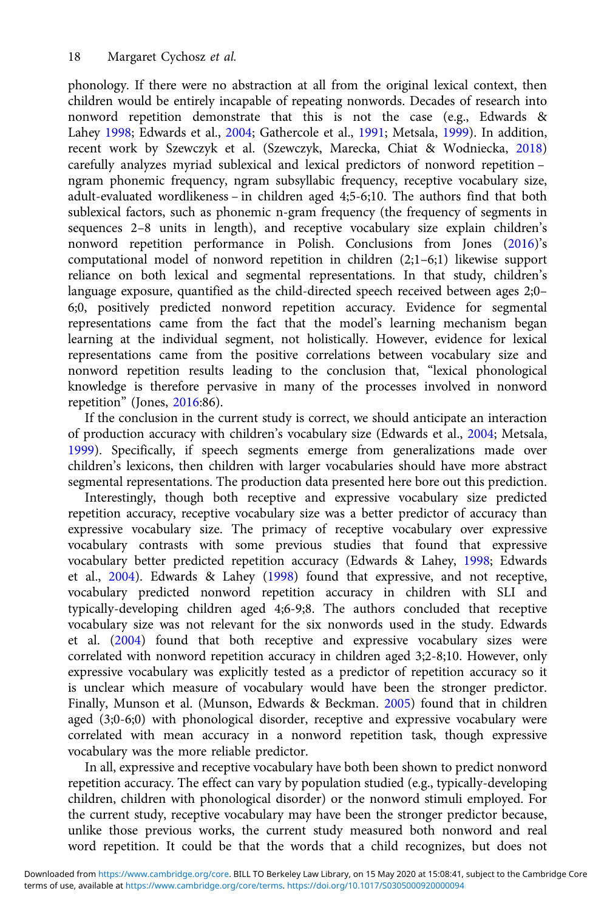phonology. If there were no abstraction at all from the original lexical context, then children would be entirely incapable of repeating nonwords. Decades of research into nonword repetition demonstrate that this is not the case (e.g., Edwards & Lahey [1998](#page-20-0); Edwards et al., [2004;](#page-20-0) Gathercole et al., [1991](#page-20-0); Metsala, [1999\)](#page-21-0). In addition, recent work by Szewczyk et al. (Szewczyk, Marecka, Chiat & Wodniecka, [2018\)](#page-22-0) carefully analyzes myriad sublexical and lexical predictors of nonword repetition – ngram phonemic frequency, ngram subsyllabic frequency, receptive vocabulary size, adult-evaluated wordlikeness – in children aged 4;5-6;10. The authors find that both sublexical factors, such as phonemic n-gram frequency (the frequency of segments in sequences 2–8 units in length), and receptive vocabulary size explain children's nonword repetition performance in Polish. Conclusions from Jones ([2016](#page-21-0))'s computational model of nonword repetition in children (2;1–6;1) likewise support reliance on both lexical and segmental representations. In that study, children's language exposure, quantified as the child-directed speech received between ages 2;0– 6;0, positively predicted nonword repetition accuracy. Evidence for segmental representations came from the fact that the model's learning mechanism began learning at the individual segment, not holistically. However, evidence for lexical representations came from the positive correlations between vocabulary size and nonword repetition results leading to the conclusion that, "lexical phonological knowledge is therefore pervasive in many of the processes involved in nonword repetition" (Jones, [2016](#page-21-0):86).

If the conclusion in the current study is correct, we should anticipate an interaction of production accuracy with children's vocabulary size (Edwards et al., [2004;](#page-20-0) Metsala, [1999\)](#page-21-0). Specifically, if speech segments emerge from generalizations made over children's lexicons, then children with larger vocabularies should have more abstract segmental representations. The production data presented here bore out this prediction.

Interestingly, though both receptive and expressive vocabulary size predicted repetition accuracy, receptive vocabulary size was a better predictor of accuracy than expressive vocabulary size. The primacy of receptive vocabulary over expressive vocabulary contrasts with some previous studies that found that expressive vocabulary better predicted repetition accuracy (Edwards & Lahey, [1998;](#page-20-0) Edwards et al., [2004\)](#page-20-0). Edwards & Lahey ([1998\)](#page-20-0) found that expressive, and not receptive, vocabulary predicted nonword repetition accuracy in children with SLI and typically-developing children aged 4;6-9;8. The authors concluded that receptive vocabulary size was not relevant for the six nonwords used in the study. Edwards et al. [\(2004](#page-20-0)) found that both receptive and expressive vocabulary sizes were correlated with nonword repetition accuracy in children aged 3;2-8;10. However, only expressive vocabulary was explicitly tested as a predictor of repetition accuracy so it is unclear which measure of vocabulary would have been the stronger predictor. Finally, Munson et al. (Munson, Edwards & Beckman. [2005](#page-22-0)) found that in children aged (3;0-6;0) with phonological disorder, receptive and expressive vocabulary were correlated with mean accuracy in a nonword repetition task, though expressive vocabulary was the more reliable predictor.

In all, expressive and receptive vocabulary have both been shown to predict nonword repetition accuracy. The effect can vary by population studied (e.g., typically-developing children, children with phonological disorder) or the nonword stimuli employed. For the current study, receptive vocabulary may have been the stronger predictor because, unlike those previous works, the current study measured both nonword and real word repetition. It could be that the words that a child recognizes, but does not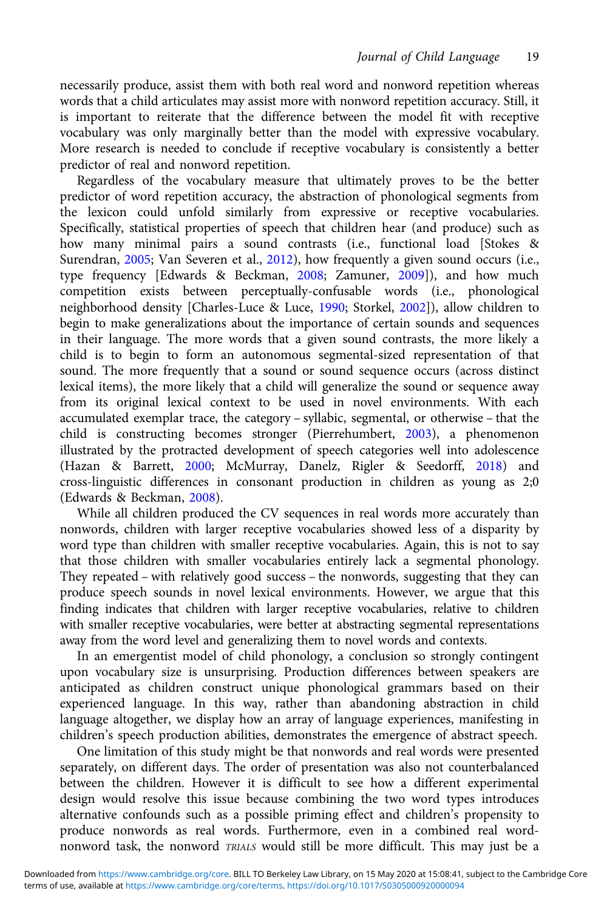necessarily produce, assist them with both real word and nonword repetition whereas words that a child articulates may assist more with nonword repetition accuracy. Still, it is important to reiterate that the difference between the model fit with receptive vocabulary was only marginally better than the model with expressive vocabulary. More research is needed to conclude if receptive vocabulary is consistently a better predictor of real and nonword repetition.

Regardless of the vocabulary measure that ultimately proves to be the better predictor of word repetition accuracy, the abstraction of phonological segments from the lexicon could unfold similarly from expressive or receptive vocabularies. Specifically, statistical properties of speech that children hear (and produce) such as how many minimal pairs a sound contrasts (i.e., functional load [Stokes & Surendran, [2005;](#page-22-0) Van Severen et al., [2012](#page-23-0)), how frequently a given sound occurs (i.e., type frequency [Edwards & Beckman, [2008;](#page-20-0) Zamuner, [2009](#page-23-0)]), and how much competition exists between perceptually-confusable words (i.e., phonological neighborhood density [Charles-Luce & Luce, [1990;](#page-20-0) Storkel, [2002](#page-22-0)]), allow children to begin to make generalizations about the importance of certain sounds and sequences in their language. The more words that a given sound contrasts, the more likely a child is to begin to form an autonomous segmental-sized representation of that sound. The more frequently that a sound or sound sequence occurs (across distinct lexical items), the more likely that a child will generalize the sound or sequence away from its original lexical context to be used in novel environments. With each accumulated exemplar trace, the category – syllabic, segmental, or otherwise – that the child is constructing becomes stronger (Pierrehumbert, [2003](#page-22-0)), a phenomenon illustrated by the protracted development of speech categories well into adolescence (Hazan & Barrett, [2000](#page-21-0); McMurray, Danelz, Rigler & Seedorff, [2018\)](#page-21-0) and cross-linguistic differences in consonant production in children as young as 2;0 (Edwards & Beckman, [2008\)](#page-20-0).

While all children produced the CV sequences in real words more accurately than nonwords, children with larger receptive vocabularies showed less of a disparity by word type than children with smaller receptive vocabularies. Again, this is not to say that those children with smaller vocabularies entirely lack a segmental phonology. They repeated – with relatively good success – the nonwords, suggesting that they can produce speech sounds in novel lexical environments. However, we argue that this finding indicates that children with larger receptive vocabularies, relative to children with smaller receptive vocabularies, were better at abstracting segmental representations away from the word level and generalizing them to novel words and contexts.

In an emergentist model of child phonology, a conclusion so strongly contingent upon vocabulary size is unsurprising. Production differences between speakers are anticipated as children construct unique phonological grammars based on their experienced language. In this way, rather than abandoning abstraction in child language altogether, we display how an array of language experiences, manifesting in children's speech production abilities, demonstrates the emergence of abstract speech.

One limitation of this study might be that nonwords and real words were presented separately, on different days. The order of presentation was also not counterbalanced between the children. However it is difficult to see how a different experimental design would resolve this issue because combining the two word types introduces alternative confounds such as a possible priming effect and children's propensity to produce nonwords as real words. Furthermore, even in a combined real wordnonword task, the nonword TRIALS would still be more difficult. This may just be a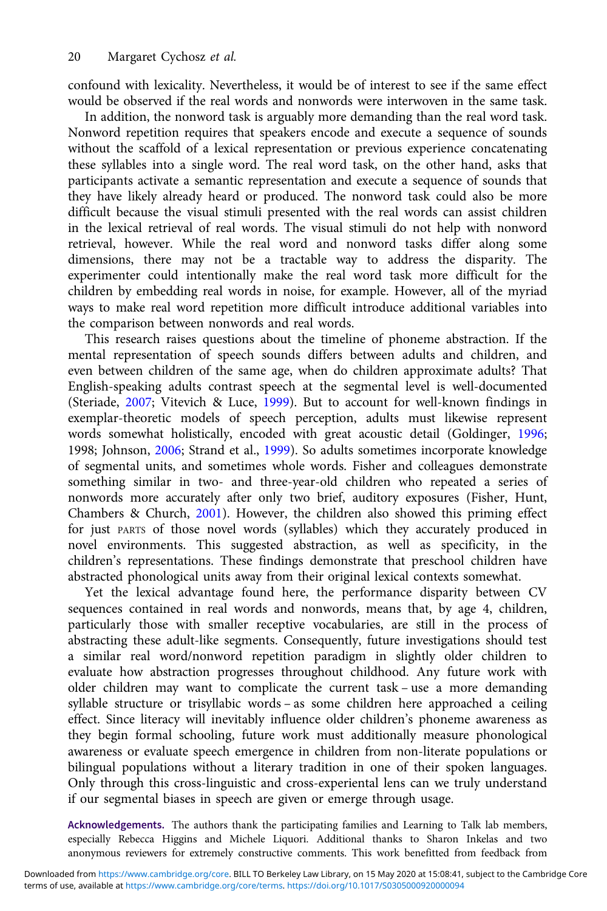confound with lexicality. Nevertheless, it would be of interest to see if the same effect would be observed if the real words and nonwords were interwoven in the same task.

In addition, the nonword task is arguably more demanding than the real word task. Nonword repetition requires that speakers encode and execute a sequence of sounds without the scaffold of a lexical representation or previous experience concatenating these syllables into a single word. The real word task, on the other hand, asks that participants activate a semantic representation and execute a sequence of sounds that they have likely already heard or produced. The nonword task could also be more difficult because the visual stimuli presented with the real words can assist children in the lexical retrieval of real words. The visual stimuli do not help with nonword retrieval, however. While the real word and nonword tasks differ along some dimensions, there may not be a tractable way to address the disparity. The experimenter could intentionally make the real word task more difficult for the children by embedding real words in noise, for example. However, all of the myriad ways to make real word repetition more difficult introduce additional variables into the comparison between nonwords and real words.

This research raises questions about the timeline of phoneme abstraction. If the mental representation of speech sounds differs between adults and children, and even between children of the same age, when do children approximate adults? That English-speaking adults contrast speech at the segmental level is well-documented (Steriade, [2007;](#page-22-0) Vitevich & Luce, [1999](#page-23-0)). But to account for well-known findings in exemplar-theoretic models of speech perception, adults must likewise represent words somewhat holistically, encoded with great acoustic detail (Goldinger, [1996](#page-21-0); 1998; Johnson, [2006;](#page-21-0) Strand et al., [1999](#page-22-0)). So adults sometimes incorporate knowledge of segmental units, and sometimes whole words. Fisher and colleagues demonstrate something similar in two- and three-year-old children who repeated a series of nonwords more accurately after only two brief, auditory exposures (Fisher, Hunt, Chambers & Church, [2001\)](#page-20-0). However, the children also showed this priming effect for just PARTS of those novel words (syllables) which they accurately produced in novel environments. This suggested abstraction, as well as specificity, in the children's representations. These findings demonstrate that preschool children have abstracted phonological units away from their original lexical contexts somewhat.

Yet the lexical advantage found here, the performance disparity between CV sequences contained in real words and nonwords, means that, by age 4, children, particularly those with smaller receptive vocabularies, are still in the process of abstracting these adult-like segments. Consequently, future investigations should test a similar real word/nonword repetition paradigm in slightly older children to evaluate how abstraction progresses throughout childhood. Any future work with older children may want to complicate the current task – use a more demanding syllable structure or trisyllabic words – as some children here approached a ceiling effect. Since literacy will inevitably influence older children's phoneme awareness as they begin formal schooling, future work must additionally measure phonological awareness or evaluate speech emergence in children from non-literate populations or bilingual populations without a literary tradition in one of their spoken languages. Only through this cross-linguistic and cross-experiental lens can we truly understand if our segmental biases in speech are given or emerge through usage.

Acknowledgements. The authors thank the participating families and Learning to Talk lab members, especially Rebecca Higgins and Michele Liquori. Additional thanks to Sharon Inkelas and two anonymous reviewers for extremely constructive comments. This work benefitted from feedback from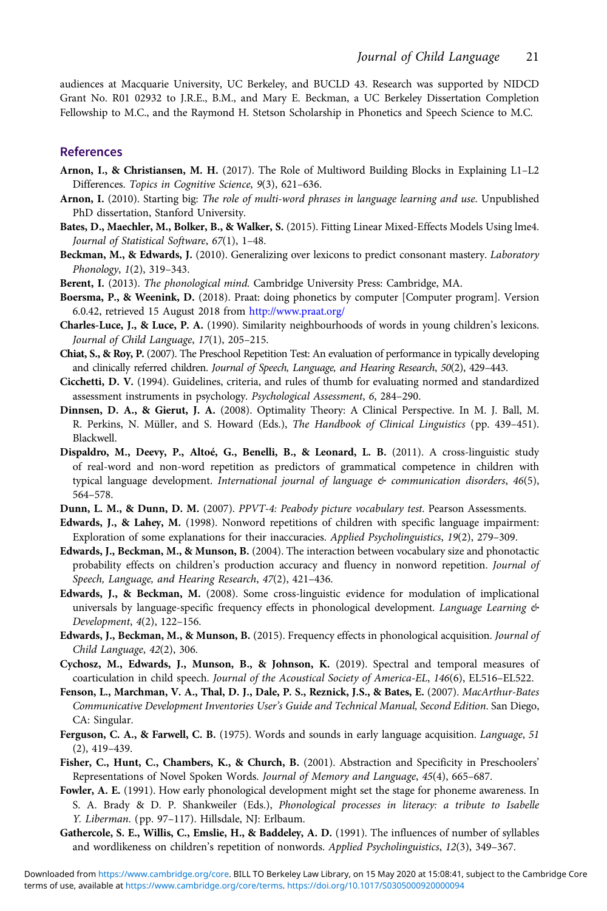<span id="page-20-0"></span>audiences at Macquarie University, UC Berkeley, and BUCLD 43. Research was supported by NIDCD Grant No. R01 02932 to J.R.E., B.M., and Mary E. Beckman, a UC Berkeley Dissertation Completion Fellowship to M.C., and the Raymond H. Stetson Scholarship in Phonetics and Speech Science to M.C.

#### References

- Arnon, I., & Christiansen, M. H. (2017). The Role of Multiword Building Blocks in Explaining L1–L2 Differences. Topics in Cognitive Science, 9(3), 621–636.
- Arnon, I. (2010). Starting big: The role of multi-word phrases in language learning and use. Unpublished PhD dissertation, Stanford University.
- Bates, D., Maechler, M., Bolker, B., & Walker, S. (2015). Fitting Linear Mixed-Effects Models Using lme4. Journal of Statistical Software, 67(1), 1–48.
- Beckman, M., & Edwards, J. (2010). Generalizing over lexicons to predict consonant mastery. Laboratory Phonology, 1(2), 319–343.
- Berent, I. (2013). The phonological mind. Cambridge University Press: Cambridge, MA.
- Boersma, P., & Weenink, D. (2018). Praat: doing phonetics by computer [Computer program]. Version 6.0.42, retrieved 15 August 2018 from <http://www.praat.org/>
- Charles-Luce, J., & Luce, P. A. (1990). Similarity neighbourhoods of words in young children's lexicons. Journal of Child Language, 17(1), 205–215.
- Chiat, S., & Roy, P. (2007). The Preschool Repetition Test: An evaluation of performance in typically developing and clinically referred children. Journal of Speech, Language, and Hearing Research, 50(2), 429–443.
- Cicchetti, D. V. (1994). Guidelines, criteria, and rules of thumb for evaluating normed and standardized assessment instruments in psychology. Psychological Assessment, 6, 284–290.
- Dinnsen, D. A., & Gierut, J. A. (2008). Optimality Theory: A Clinical Perspective. In M. J. Ball, M. R. Perkins, N. Müller, and S. Howard (Eds.), The Handbook of Clinical Linguistics (pp. 439–451). Blackwell.
- Dispaldro, M., Deevy, P., Altoé, G., Benelli, B., & Leonard, L. B. (2011). A cross-linguistic study of real-word and non-word repetition as predictors of grammatical competence in children with typical language development. International journal of language  $\&$  communication disorders, 46(5), 564–578.
- Dunn, L. M., & Dunn, D. M. (2007). PPVT-4: Peabody picture vocabulary test. Pearson Assessments.
- Edwards, J., & Lahey, M. (1998). Nonword repetitions of children with specific language impairment: Exploration of some explanations for their inaccuracies. Applied Psycholinguistics, 19(2), 279–309.
- Edwards, J., Beckman, M., & Munson, B. (2004). The interaction between vocabulary size and phonotactic probability effects on children's production accuracy and fluency in nonword repetition. Journal of Speech, Language, and Hearing Research, 47(2), 421–436.
- Edwards, J., & Beckman, M. (2008). Some cross-linguistic evidence for modulation of implicational universals by language-specific frequency effects in phonological development. Language Learning & Development, 4(2), 122–156.
- Edwards, J., Beckman, M., & Munson, B. (2015). Frequency effects in phonological acquisition. Journal of Child Language, 42(2), 306.
- Cychosz, M., Edwards, J., Munson, B., & Johnson, K. (2019). Spectral and temporal measures of coarticulation in child speech. Journal of the Acoustical Society of America-EL, 146(6), EL516–EL522.
- Fenson, L., Marchman, V. A., Thal, D. J., Dale, P. S., Reznick, J.S., & Bates, E. (2007). MacArthur-Bates Communicative Development Inventories User's Guide and Technical Manual, Second Edition. San Diego, CA: Singular.
- Ferguson, C. A., & Farwell, C. B. (1975). Words and sounds in early language acquisition. Language, 51 (2), 419–439.
- Fisher, C., Hunt, C., Chambers, K., & Church, B. (2001). Abstraction and Specificity in Preschoolers' Representations of Novel Spoken Words. Journal of Memory and Language, 45(4), 665–687.
- Fowler, A. E. (1991). How early phonological development might set the stage for phoneme awareness. In S. A. Brady & D. P. Shankweiler (Eds.), Phonological processes in literacy: a tribute to Isabelle Y. Liberman. (pp. 97–117). Hillsdale, NJ: Erlbaum.
- Gathercole, S. E., Willis, C., Emslie, H., & Baddeley, A. D. (1991). The influences of number of syllables and wordlikeness on children's repetition of nonwords. Applied Psycholinguistics, 12(3), 349–367.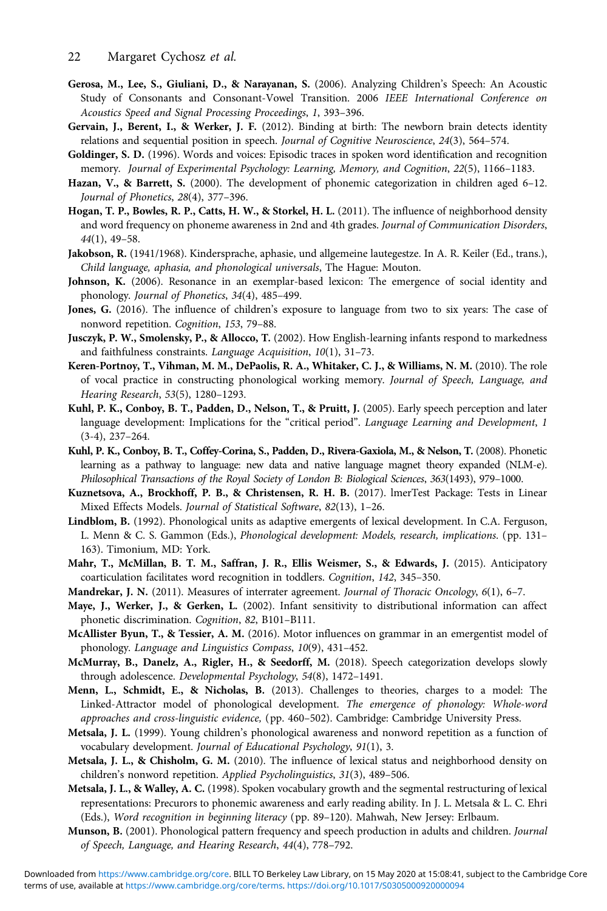- <span id="page-21-0"></span>Gerosa, M., Lee, S., Giuliani, D., & Narayanan, S. (2006). Analyzing Children's Speech: An Acoustic Study of Consonants and Consonant-Vowel Transition. 2006 IEEE International Conference on Acoustics Speed and Signal Processing Proceedings, 1, 393–396.
- Gervain, J., Berent, I., & Werker, J. F. (2012). Binding at birth: The newborn brain detects identity relations and sequential position in speech. Journal of Cognitive Neuroscience, 24(3), 564-574.
- Goldinger, S. D. (1996). Words and voices: Episodic traces in spoken word identification and recognition memory. Journal of Experimental Psychology: Learning, Memory, and Cognition, 22(5), 1166–1183.
- Hazan, V., & Barrett, S. (2000). The development of phonemic categorization in children aged 6–12. Journal of Phonetics, 28(4), 377–396.
- Hogan, T. P., Bowles, R. P., Catts, H. W., & Storkel, H. L. (2011). The influence of neighborhood density and word frequency on phoneme awareness in 2nd and 4th grades. Journal of Communication Disorders, 44(1), 49–58.
- Jakobson, R. (1941/1968). Kindersprache, aphasie, und allgemeine lautegestze. In A. R. Keiler (Ed., trans.), Child language, aphasia, and phonological universals, The Hague: Mouton.
- Johnson, K. (2006). Resonance in an exemplar-based lexicon: The emergence of social identity and phonology. Journal of Phonetics, 34(4), 485–499.
- Jones, G. (2016). The influence of children's exposure to language from two to six years: The case of nonword repetition. Cognition, 153, 79–88.
- Jusczyk, P. W., Smolensky, P., & Allocco, T. (2002). How English-learning infants respond to markedness and faithfulness constraints. Language Acquisition, 10(1), 31–73.
- Keren-Portnoy, T., Vihman, M. M., DePaolis, R. A., Whitaker, C. J., & Williams, N. M. (2010). The role of vocal practice in constructing phonological working memory. Journal of Speech, Language, and Hearing Research, 53(5), 1280–1293.
- Kuhl, P. K., Conboy, B. T., Padden, D., Nelson, T., & Pruitt, J. (2005). Early speech perception and later language development: Implications for the "critical period". Language Learning and Development, 1 (3-4), 237–264.
- Kuhl, P. K., Conboy, B. T., Coffey-Corina, S., Padden, D., Rivera-Gaxiola, M., & Nelson, T. (2008). Phonetic learning as a pathway to language: new data and native language magnet theory expanded (NLM-e). Philosophical Transactions of the Royal Society of London B: Biological Sciences, 363(1493), 979–1000.
- Kuznetsova, A., Brockhoff, P. B., & Christensen, R. H. B. (2017). lmerTest Package: Tests in Linear Mixed Effects Models. Journal of Statistical Software, 82(13), 1–26.
- Lindblom, B. (1992). Phonological units as adaptive emergents of lexical development. In C.A. Ferguson, L. Menn & C. S. Gammon (Eds.), Phonological development: Models, research, implications. (pp. 131– 163). Timonium, MD: York.
- Mahr, T., McMillan, B. T. M., Saffran, J. R., Ellis Weismer, S., & Edwards, J. (2015). Anticipatory coarticulation facilitates word recognition in toddlers. Cognition, 142, 345–350.
- Mandrekar, J. N. (2011). Measures of interrater agreement. Journal of Thoracic Oncology, 6(1), 6-7.
- Maye, J., Werker, J., & Gerken, L. (2002). Infant sensitivity to distributional information can affect phonetic discrimination. Cognition, 82, B101–B111.
- McAllister Byun, T., & Tessier, A. M. (2016). Motor influences on grammar in an emergentist model of phonology. Language and Linguistics Compass, 10(9), 431–452.
- McMurray, B., Danelz, A., Rigler, H., & Seedorff, M. (2018). Speech categorization develops slowly through adolescence. Developmental Psychology, 54(8), 1472–1491.
- Menn, L., Schmidt, E., & Nicholas, B. (2013). Challenges to theories, charges to a model: The Linked-Attractor model of phonological development. The emergence of phonology: Whole-word approaches and cross-linguistic evidence, (pp. 460–502). Cambridge: Cambridge University Press.
- Metsala, J. L. (1999). Young children's phonological awareness and nonword repetition as a function of vocabulary development. Journal of Educational Psychology, 91(1), 3.
- Metsala, J. L., & Chisholm, G. M. (2010). The influence of lexical status and neighborhood density on children's nonword repetition. Applied Psycholinguistics, 31(3), 489–506.
- Metsala, J. L., & Walley, A. C. (1998). Spoken vocabulary growth and the segmental restructuring of lexical representations: Precurors to phonemic awareness and early reading ability. In J. L. Metsala & L. C. Ehri (Eds.), Word recognition in beginning literacy (pp. 89–120). Mahwah, New Jersey: Erlbaum.
- Munson, B. (2001). Phonological pattern frequency and speech production in adults and children. Journal of Speech, Language, and Hearing Research, 44(4), 778–792.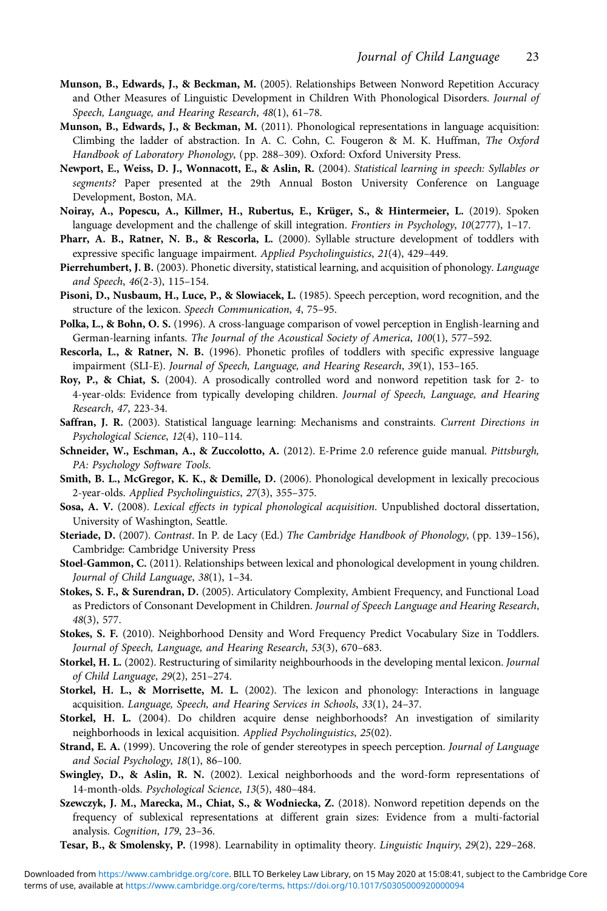- <span id="page-22-0"></span>Munson, B., Edwards, J., & Beckman, M. (2005). Relationships Between Nonword Repetition Accuracy and Other Measures of Linguistic Development in Children With Phonological Disorders. Journal of Speech, Language, and Hearing Research, 48(1), 61–78.
- Munson, B., Edwards, J., & Beckman, M. (2011). Phonological representations in language acquisition: Climbing the ladder of abstraction. In A. C. Cohn, C. Fougeron & M. K. Huffman, The Oxford Handbook of Laboratory Phonology, (pp. 288–309). Oxford: Oxford University Press.
- Newport, E., Weiss, D. J., Wonnacott, E., & Aslin, R. (2004). Statistical learning in speech: Syllables or segments? Paper presented at the 29th Annual Boston University Conference on Language Development, Boston, MA.
- Noiray, A., Popescu, A., Killmer, H., Rubertus, E., Krüger, S., & Hintermeier, L. (2019). Spoken language development and the challenge of skill integration. Frontiers in Psychology, 10(2777), 1–17.
- Pharr, A. B., Ratner, N. B., & Rescorla, L. (2000). Syllable structure development of toddlers with expressive specific language impairment. Applied Psycholinguistics, 21(4), 429–449.
- Pierrehumbert, J. B. (2003). Phonetic diversity, statistical learning, and acquisition of phonology. Language and Speech, 46(2-3), 115–154.
- Pisoni, D., Nusbaum, H., Luce, P., & Slowiacek, L. (1985). Speech perception, word recognition, and the structure of the lexicon. Speech Communication, 4, 75–95.
- Polka, L., & Bohn, O. S. (1996). A cross-language comparison of vowel perception in English-learning and German-learning infants. The Journal of the Acoustical Society of America, 100(1), 577–592.
- Rescorla, L., & Ratner, N. B. (1996). Phonetic profiles of toddlers with specific expressive language impairment (SLI-E). Journal of Speech, Language, and Hearing Research, 39(1), 153–165.
- Roy, P., & Chiat, S. (2004). A prosodically controlled word and nonword repetition task for 2- to 4-year-olds: Evidence from typically developing children. Journal of Speech, Language, and Hearing Research, 47, 223-34.
- Saffran, J. R. (2003). Statistical language learning: Mechanisms and constraints. Current Directions in Psychological Science, 12(4), 110–114.
- Schneider, W., Eschman, A., & Zuccolotto, A. (2012). E-Prime 2.0 reference guide manual. Pittsburgh, PA: Psychology Software Tools.
- Smith, B. L., McGregor, K. K., & Demille, D. (2006). Phonological development in lexically precocious 2-year-olds. Applied Psycholinguistics, 27(3), 355–375.
- Sosa, A. V. (2008). Lexical effects in typical phonological acquisition. Unpublished doctoral dissertation, University of Washington, Seattle.
- Steriade, D. (2007). Contrast. In P. de Lacy (Ed.) The Cambridge Handbook of Phonology, (pp. 139–156), Cambridge: Cambridge University Press
- Stoel-Gammon, C. (2011). Relationships between lexical and phonological development in young children. Journal of Child Language, 38(1), 1–34.
- Stokes, S. F., & Surendran, D. (2005). Articulatory Complexity, Ambient Frequency, and Functional Load as Predictors of Consonant Development in Children. Journal of Speech Language and Hearing Research, 48(3), 577.
- Stokes, S. F. (2010). Neighborhood Density and Word Frequency Predict Vocabulary Size in Toddlers. Journal of Speech, Language, and Hearing Research, 53(3), 670–683.
- Storkel, H. L. (2002). Restructuring of similarity neighbourhoods in the developing mental lexicon. Journal of Child Language, 29(2), 251–274.
- Storkel, H. L., & Morrisette, M. L. (2002). The lexicon and phonology: Interactions in language acquisition. Language, Speech, and Hearing Services in Schools, 33(1), 24–37.
- Storkel, H. L. (2004). Do children acquire dense neighborhoods? An investigation of similarity neighborhoods in lexical acquisition. Applied Psycholinguistics, 25(02).
- Strand, E. A. (1999). Uncovering the role of gender stereotypes in speech perception. Journal of Language and Social Psychology, 18(1), 86–100.
- Swingley, D., & Aslin, R. N. (2002). Lexical neighborhoods and the word-form representations of 14-month-olds. Psychological Science, 13(5), 480–484.
- Szewczyk, J. M., Marecka, M., Chiat, S., & Wodniecka, Z. (2018). Nonword repetition depends on the frequency of sublexical representations at different grain sizes: Evidence from a multi-factorial analysis. Cognition, 179, 23–36.
- Tesar, B., & Smolensky, P. (1998). Learnability in optimality theory. Linguistic Inquiry, 29(2), 229–268.